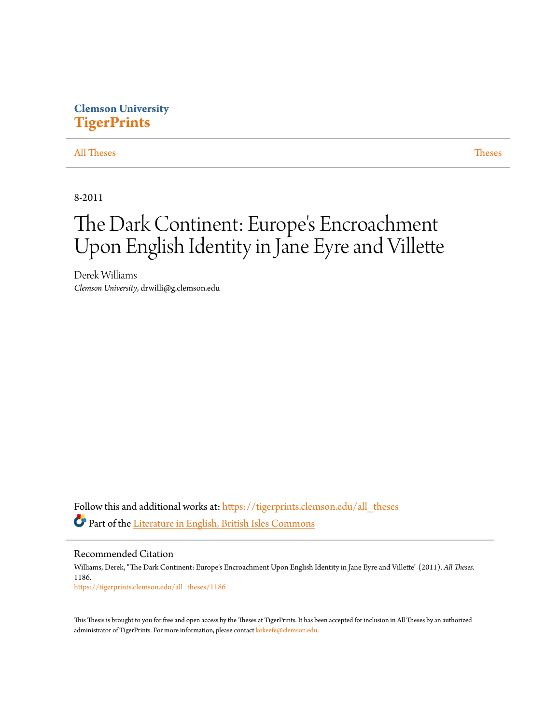# **Clemson University [TigerPrints](https://tigerprints.clemson.edu?utm_source=tigerprints.clemson.edu%2Fall_theses%2F1186&utm_medium=PDF&utm_campaign=PDFCoverPages)**

## [All Theses](https://tigerprints.clemson.edu/all_theses?utm_source=tigerprints.clemson.edu%2Fall_theses%2F1186&utm_medium=PDF&utm_campaign=PDFCoverPages) **[Theses](https://tigerprints.clemson.edu/theses?utm_source=tigerprints.clemson.edu%2Fall_theses%2F1186&utm_medium=PDF&utm_campaign=PDFCoverPages)**

8-2011

# The Dark Continent: Europe 's Encroachment Upon English Identity in Jane Eyre and Villette

Derek Williams *Clemson University*, drwilli@g.clemson.edu

Follow this and additional works at: [https://tigerprints.clemson.edu/all\\_theses](https://tigerprints.clemson.edu/all_theses?utm_source=tigerprints.clemson.edu%2Fall_theses%2F1186&utm_medium=PDF&utm_campaign=PDFCoverPages) Part of the [Literature in English, British Isles Commons](http://network.bepress.com/hgg/discipline/456?utm_source=tigerprints.clemson.edu%2Fall_theses%2F1186&utm_medium=PDF&utm_campaign=PDFCoverPages)

Recommended Citation Williams, Derek, "The Dark Continent: Europe's Encroachment Upon English Identity in Jane Eyre and Villette" (2011). *All Theses*. 1186. [https://tigerprints.clemson.edu/all\\_theses/1186](https://tigerprints.clemson.edu/all_theses/1186?utm_source=tigerprints.clemson.edu%2Fall_theses%2F1186&utm_medium=PDF&utm_campaign=PDFCoverPages)

This Thesis is brought to you for free and open access by the Theses at TigerPrints. It has been accepted for inclusion in All Theses by an authorized administrator of TigerPrints. For more information, please contact [kokeefe@clemson.edu](mailto:kokeefe@clemson.edu).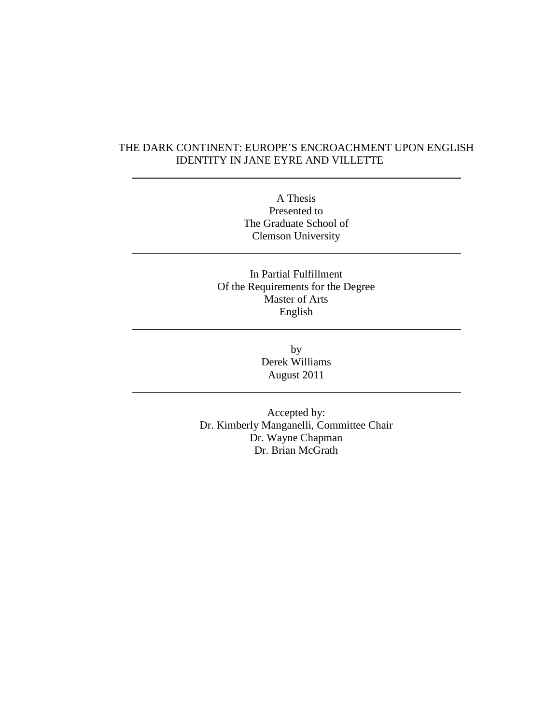## THE DARK CONTINENT: EUROPE'S ENCROACHMENT UPON ENGLISH IDENTITY IN JANE EYRE AND VILLETTE

 $\overline{a}$ 

 $\overline{a}$ 

 $\overline{a}$ 

 $\overline{a}$ 

A Thesis Presented to The Graduate School of Clemson University

In Partial Fulfillment Of the Requirements for the Degree Master of Arts English

> by Derek Williams August 2011

Accepted by: Dr. Kimberly Manganelli, Committee Chair Dr. Wayne Chapman Dr. Brian McGrath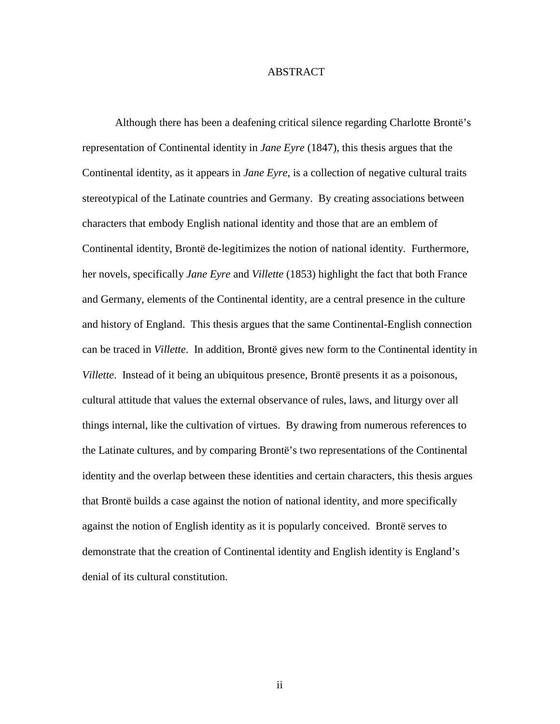### ABSTRACT

 Although there has been a deafening critical silence regarding Charlotte Brontë's representation of Continental identity in *Jane Eyre* (1847), this thesis argues that the Continental identity, as it appears in *Jane Eyre*, is a collection of negative cultural traits stereotypical of the Latinate countries and Germany. By creating associations between characters that embody English national identity and those that are an emblem of Continental identity, Brontë de-legitimizes the notion of national identity. Furthermore, her novels, specifically *Jane Eyre* and *Villette* (1853) highlight the fact that both France and Germany, elements of the Continental identity, are a central presence in the culture and history of England. This thesis argues that the same Continental-English connection can be traced in *Villette*. In addition, Brontë gives new form to the Continental identity in *Villette*. Instead of it being an ubiquitous presence, Brontë presents it as a poisonous, cultural attitude that values the external observance of rules, laws, and liturgy over all things internal, like the cultivation of virtues. By drawing from numerous references to the Latinate cultures, and by comparing Brontë's two representations of the Continental identity and the overlap between these identities and certain characters, this thesis argues that Brontë builds a case against the notion of national identity, and more specifically against the notion of English identity as it is popularly conceived. Brontë serves to demonstrate that the creation of Continental identity and English identity is England's denial of its cultural constitution.

ii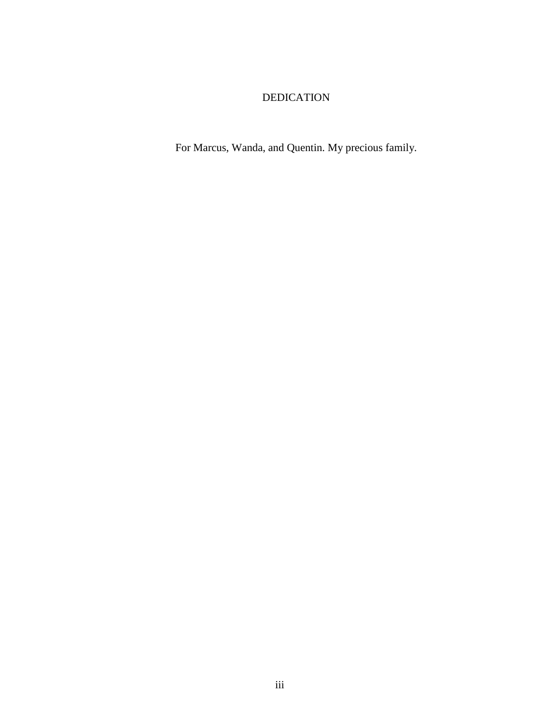## DEDICATION

For Marcus, Wanda, and Quentin. My precious family.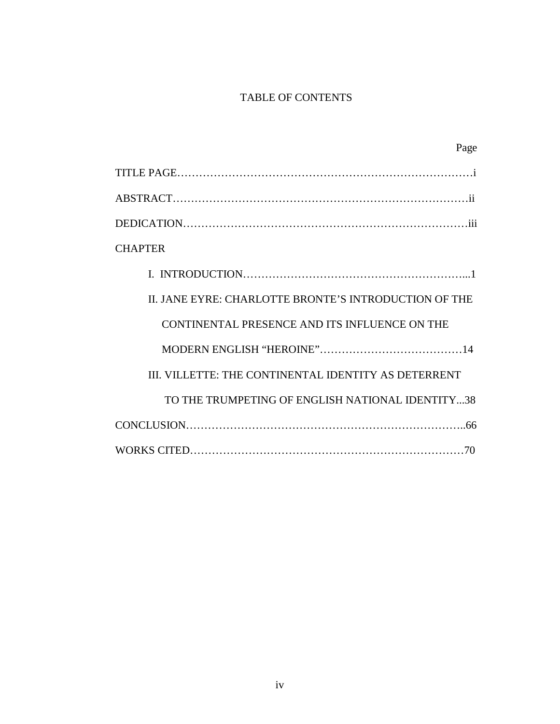# TABLE OF CONTENTS

| Page                                                  |
|-------------------------------------------------------|
|                                                       |
|                                                       |
|                                                       |
| <b>CHAPTER</b>                                        |
|                                                       |
| II. JANE EYRE: CHARLOTTE BRONTE'S INTRODUCTION OF THE |
| CONTINENTAL PRESENCE AND ITS INFLUENCE ON THE         |
|                                                       |
| III. VILLETTE: THE CONTINENTAL IDENTITY AS DETERRENT  |
| TO THE TRUMPETING OF ENGLISH NATIONAL IDENTITY38      |
|                                                       |
|                                                       |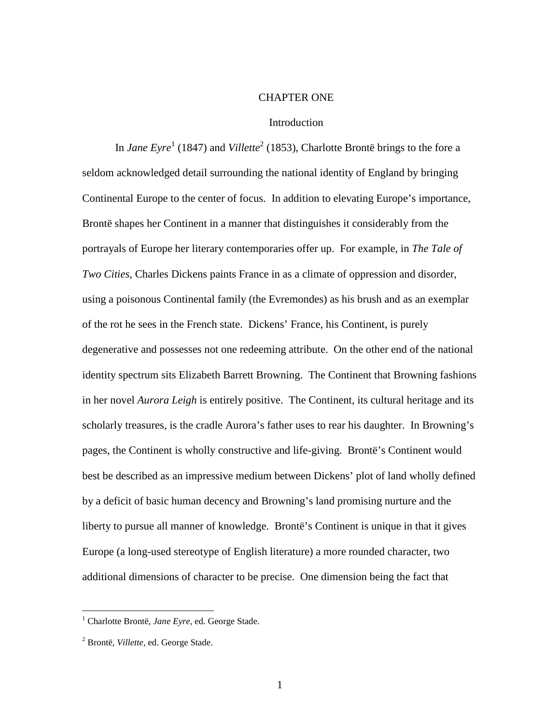#### CHAPTER ONE

#### **Introduction**

In *Jane Eyre*<sup>1</sup> (1847) and *Villette*<sup>2</sup> (1853), Charlotte Brontë brings to the fore a seldom acknowledged detail surrounding the national identity of England by bringing Continental Europe to the center of focus. In addition to elevating Europe's importance, Brontë shapes her Continent in a manner that distinguishes it considerably from the portrayals of Europe her literary contemporaries offer up. For example, in *The Tale of Two Cities*, Charles Dickens paints France in as a climate of oppression and disorder, using a poisonous Continental family (the Evremondes) as his brush and as an exemplar of the rot he sees in the French state. Dickens' France, his Continent, is purely degenerative and possesses not one redeeming attribute. On the other end of the national identity spectrum sits Elizabeth Barrett Browning. The Continent that Browning fashions in her novel *Aurora Leigh* is entirely positive. The Continent, its cultural heritage and its scholarly treasures, is the cradle Aurora's father uses to rear his daughter. In Browning's pages, the Continent is wholly constructive and life-giving. Brontë's Continent would best be described as an impressive medium between Dickens' plot of land wholly defined by a deficit of basic human decency and Browning's land promising nurture and the liberty to pursue all manner of knowledge. Brontë's Continent is unique in that it gives Europe (a long-used stereotype of English literature) a more rounded character, two additional dimensions of character to be precise. One dimension being the fact that

 $\overline{a}$ 

<sup>1</sup> Charlotte Brontë, *Jane Eyre*, ed. George Stade.

<sup>2</sup> Brontë, *Villette*, ed. George Stade.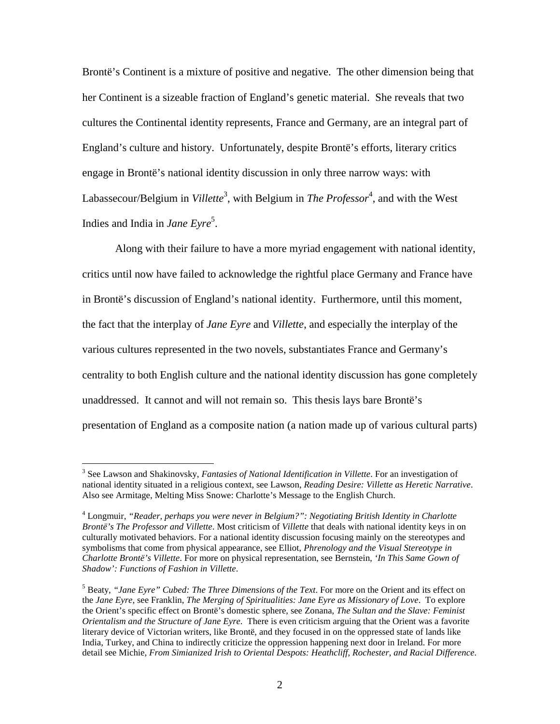Brontë's Continent is a mixture of positive and negative. The other dimension being that her Continent is a sizeable fraction of England's genetic material. She reveals that two cultures the Continental identity represents, France and Germany, are an integral part of England's culture and history. Unfortunately, despite Brontë's efforts, literary critics engage in Brontë's national identity discussion in only three narrow ways: with Labassecour/Belgium in *Villette*<sup>3</sup>, with Belgium in *The Professor*<sup>4</sup>, and with the West Indies and India in *Jane Eyre*<sup>5</sup> .

Along with their failure to have a more myriad engagement with national identity, critics until now have failed to acknowledge the rightful place Germany and France have in Brontë's discussion of England's national identity. Furthermore, until this moment, the fact that the interplay of *Jane Eyre* and *Villette*, and especially the interplay of the various cultures represented in the two novels, substantiates France and Germany's centrality to both English culture and the national identity discussion has gone completely unaddressed. It cannot and will not remain so. This thesis lays bare Brontë's presentation of England as a composite nation (a nation made up of various cultural parts)

 $\overline{a}$ 

<sup>3</sup> See Lawson and Shakinovsky, *Fantasies of National Identification in Villette*. For an investigation of national identity situated in a religious context, see Lawson, *Reading Desire: Villette as Heretic Narrative*. Also see Armitage, Melting Miss Snowe: Charlotte's Message to the English Church.

<sup>4</sup> Longmuir, *"Reader, perhaps you were never in Belgium?": Negotiating British Identity in Charlotte Brontë's The Professor and Villette*. Most criticism of *Villette* that deals with national identity keys in on culturally motivated behaviors. For a national identity discussion focusing mainly on the stereotypes and symbolisms that come from physical appearance, see Elliot, *Phrenology and the Visual Stereotype in Charlotte Brontë's Villette*. For more on physical representation, see Bernstein, *'In This Same Gown of Shadow': Functions of Fashion in Villette*.

<sup>5</sup> Beaty, *"Jane Eyre" Cubed: The Three Dimensions of the Text*. For more on the Orient and its effect on the *Jane Eyre*, see Franklin, *The Merging of Spiritualities: Jane Eyre as Missionary of Love*. To explore the Orient's specific effect on Brontë's domestic sphere, see Zonana, *The Sultan and the Slave: Feminist Orientalism and the Structure of Jane Eyre*. There is even criticism arguing that the Orient was a favorite literary device of Victorian writers, like Brontë, and they focused in on the oppressed state of lands like India, Turkey, and China to indirectly criticize the oppression happening next door in Ireland. For more detail see Michie, *From Simianized Irish to Oriental Despots: Heathcliff, Rochester, and Racial Difference*.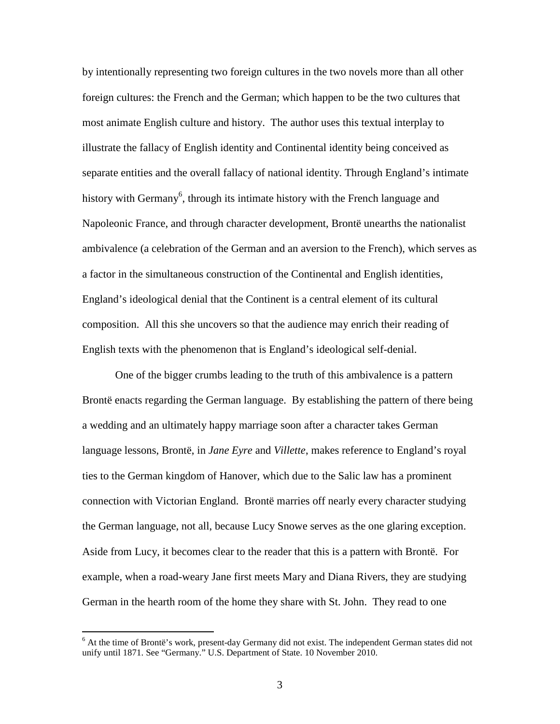by intentionally representing two foreign cultures in the two novels more than all other foreign cultures: the French and the German; which happen to be the two cultures that most animate English culture and history. The author uses this textual interplay to illustrate the fallacy of English identity and Continental identity being conceived as separate entities and the overall fallacy of national identity. Through England's intimate history with Germany<sup>6</sup>, through its intimate history with the French language and Napoleonic France, and through character development, Brontë unearths the nationalist ambivalence (a celebration of the German and an aversion to the French), which serves as a factor in the simultaneous construction of the Continental and English identities, England's ideological denial that the Continent is a central element of its cultural composition. All this she uncovers so that the audience may enrich their reading of English texts with the phenomenon that is England's ideological self-denial.

One of the bigger crumbs leading to the truth of this ambivalence is a pattern Brontë enacts regarding the German language. By establishing the pattern of there being a wedding and an ultimately happy marriage soon after a character takes German language lessons, Brontë, in *Jane Eyre* and *Villette*, makes reference to England's royal ties to the German kingdom of Hanover, which due to the Salic law has a prominent connection with Victorian England. Brontë marries off nearly every character studying the German language, not all, because Lucy Snowe serves as the one glaring exception. Aside from Lucy, it becomes clear to the reader that this is a pattern with Brontë. For example, when a road-weary Jane first meets Mary and Diana Rivers, they are studying German in the hearth room of the home they share with St. John. They read to one

<sup>&</sup>lt;sup>6</sup> At the time of Brontë's work, present-day Germany did not exist. The independent German states did not unify until 1871. See "Germany." U.S. Department of State. 10 November 2010.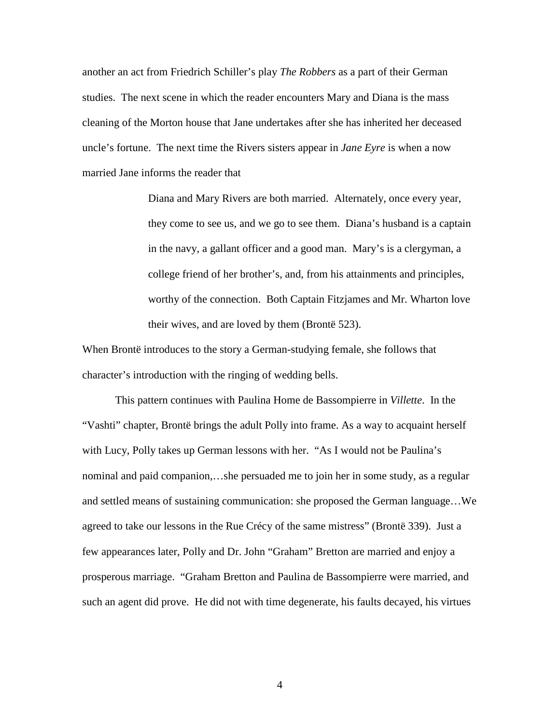another an act from Friedrich Schiller's play *The Robbers* as a part of their German studies. The next scene in which the reader encounters Mary and Diana is the mass cleaning of the Morton house that Jane undertakes after she has inherited her deceased uncle's fortune. The next time the Rivers sisters appear in *Jane Eyre* is when a now married Jane informs the reader that

> Diana and Mary Rivers are both married. Alternately, once every year, they come to see us, and we go to see them. Diana's husband is a captain in the navy, a gallant officer and a good man. Mary's is a clergyman, a college friend of her brother's, and, from his attainments and principles, worthy of the connection. Both Captain Fitzjames and Mr. Wharton love their wives, and are loved by them (Brontë 523).

When Brontë introduces to the story a German-studying female, she follows that character's introduction with the ringing of wedding bells.

This pattern continues with Paulina Home de Bassompierre in *Villette*. In the "Vashti" chapter, Brontë brings the adult Polly into frame. As a way to acquaint herself with Lucy, Polly takes up German lessons with her. "As I would not be Paulina's nominal and paid companion,…she persuaded me to join her in some study, as a regular and settled means of sustaining communication: she proposed the German language…We agreed to take our lessons in the Rue Crécy of the same mistress" (Brontë 339). Just a few appearances later, Polly and Dr. John "Graham" Bretton are married and enjoy a prosperous marriage. "Graham Bretton and Paulina de Bassompierre were married, and such an agent did prove. He did not with time degenerate, his faults decayed, his virtues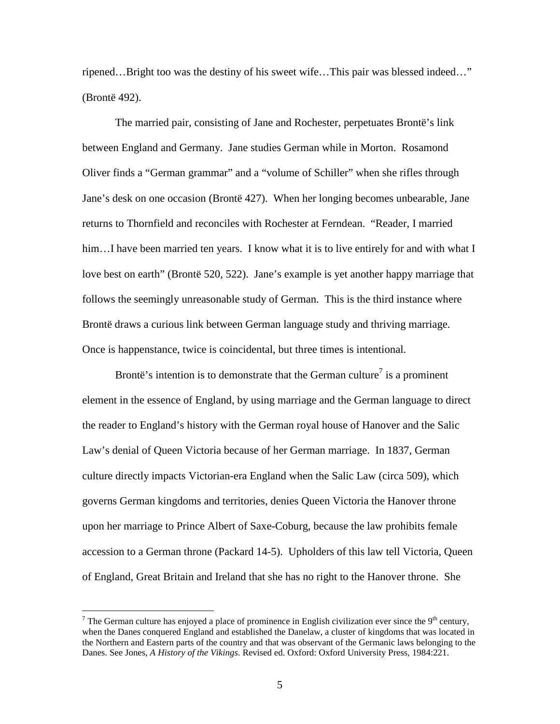ripened…Bright too was the destiny of his sweet wife…This pair was blessed indeed…" (Brontë 492).

The married pair, consisting of Jane and Rochester, perpetuates Brontë's link between England and Germany. Jane studies German while in Morton. Rosamond Oliver finds a "German grammar" and a "volume of Schiller" when she rifles through Jane's desk on one occasion (Brontë 427). When her longing becomes unbearable, Jane returns to Thornfield and reconciles with Rochester at Ferndean. "Reader, I married him...I have been married ten years. I know what it is to live entirely for and with what I love best on earth" (Brontë 520, 522). Jane's example is yet another happy marriage that follows the seemingly unreasonable study of German. This is the third instance where Brontë draws a curious link between German language study and thriving marriage. Once is happenstance, twice is coincidental, but three times is intentional.

Brontë's intention is to demonstrate that the German culture<sup>7</sup> is a prominent element in the essence of England, by using marriage and the German language to direct the reader to England's history with the German royal house of Hanover and the Salic Law's denial of Queen Victoria because of her German marriage. In 1837, German culture directly impacts Victorian-era England when the Salic Law (circa 509), which governs German kingdoms and territories, denies Queen Victoria the Hanover throne upon her marriage to Prince Albert of Saxe-Coburg, because the law prohibits female accession to a German throne (Packard 14-5). Upholders of this law tell Victoria, Queen of England, Great Britain and Ireland that she has no right to the Hanover throne. She

 $\overline{a}$ 

<sup>&</sup>lt;sup>7</sup> The German culture has enjoyed a place of prominence in English civilization ever since the 9<sup>th</sup> century, when the Danes conquered England and established the Danelaw, a cluster of kingdoms that was located in the Northern and Eastern parts of the country and that was observant of the Germanic laws belonging to the Danes. See Jones, *A History of the Vikings*. Revised ed. Oxford: Oxford University Press, 1984:221.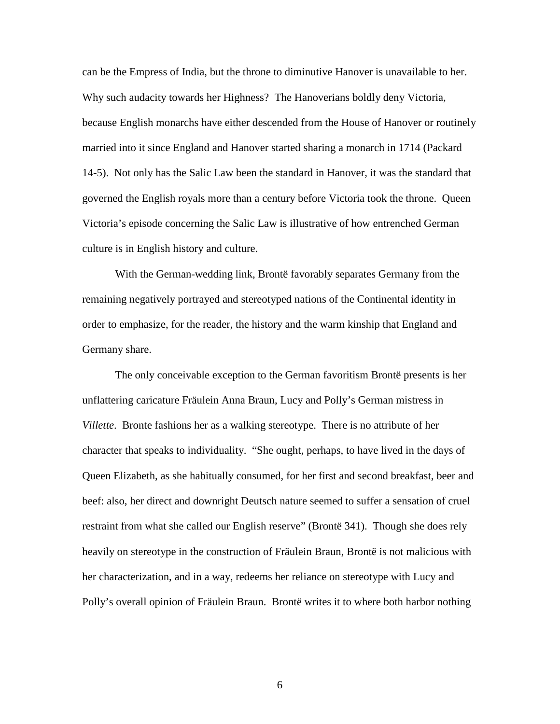can be the Empress of India, but the throne to diminutive Hanover is unavailable to her. Why such audacity towards her Highness? The Hanoverians boldly deny Victoria, because English monarchs have either descended from the House of Hanover or routinely married into it since England and Hanover started sharing a monarch in 1714 (Packard 14-5). Not only has the Salic Law been the standard in Hanover, it was the standard that governed the English royals more than a century before Victoria took the throne. Queen Victoria's episode concerning the Salic Law is illustrative of how entrenched German culture is in English history and culture.

With the German-wedding link, Brontë favorably separates Germany from the remaining negatively portrayed and stereotyped nations of the Continental identity in order to emphasize, for the reader, the history and the warm kinship that England and Germany share.

The only conceivable exception to the German favoritism Brontë presents is her unflattering caricature Fräulein Anna Braun, Lucy and Polly's German mistress in *Villette*. Bronte fashions her as a walking stereotype. There is no attribute of her character that speaks to individuality. "She ought, perhaps, to have lived in the days of Queen Elizabeth, as she habitually consumed, for her first and second breakfast, beer and beef: also, her direct and downright Deutsch nature seemed to suffer a sensation of cruel restraint from what she called our English reserve" (Brontë 341). Though she does rely heavily on stereotype in the construction of Fräulein Braun, Brontë is not malicious with her characterization, and in a way, redeems her reliance on stereotype with Lucy and Polly's overall opinion of Fräulein Braun. Brontë writes it to where both harbor nothing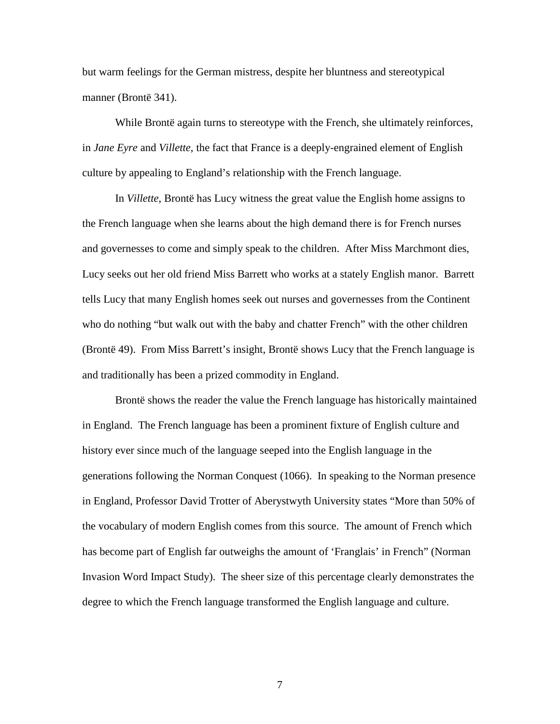but warm feelings for the German mistress, despite her bluntness and stereotypical manner (Brontë 341).

While Brontë again turns to stereotype with the French, she ultimately reinforces, in *Jane Eyre* and *Villette*, the fact that France is a deeply-engrained element of English culture by appealing to England's relationship with the French language.

In *Villette*, Brontë has Lucy witness the great value the English home assigns to the French language when she learns about the high demand there is for French nurses and governesses to come and simply speak to the children. After Miss Marchmont dies, Lucy seeks out her old friend Miss Barrett who works at a stately English manor. Barrett tells Lucy that many English homes seek out nurses and governesses from the Continent who do nothing "but walk out with the baby and chatter French" with the other children (Brontë 49). From Miss Barrett's insight, Brontë shows Lucy that the French language is and traditionally has been a prized commodity in England.

Brontë shows the reader the value the French language has historically maintained in England. The French language has been a prominent fixture of English culture and history ever since much of the language seeped into the English language in the generations following the Norman Conquest (1066). In speaking to the Norman presence in England, Professor David Trotter of Aberystwyth University states "More than 50% of the vocabulary of modern English comes from this source. The amount of French which has become part of English far outweighs the amount of 'Franglais' in French" (Norman Invasion Word Impact Study). The sheer size of this percentage clearly demonstrates the degree to which the French language transformed the English language and culture.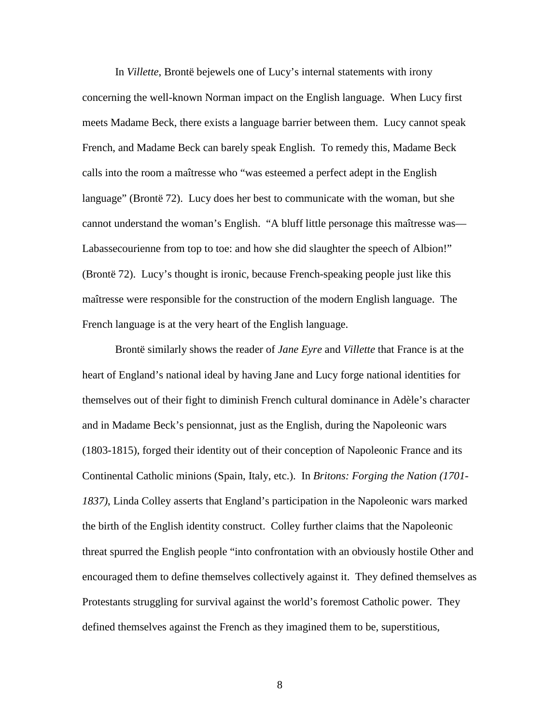In *Villette*, Brontë bejewels one of Lucy's internal statements with irony concerning the well-known Norman impact on the English language. When Lucy first meets Madame Beck, there exists a language barrier between them. Lucy cannot speak French, and Madame Beck can barely speak English. To remedy this, Madame Beck calls into the room a maîtresse who "was esteemed a perfect adept in the English language" (Brontë 72). Lucy does her best to communicate with the woman, but she cannot understand the woman's English. "A bluff little personage this maîtresse was— Labassecourienne from top to toe: and how she did slaughter the speech of Albion!" (Brontë 72). Lucy's thought is ironic, because French-speaking people just like this maîtresse were responsible for the construction of the modern English language. The French language is at the very heart of the English language.

Brontë similarly shows the reader of *Jane Eyre* and *Villette* that France is at the heart of England's national ideal by having Jane and Lucy forge national identities for themselves out of their fight to diminish French cultural dominance in Adèle's character and in Madame Beck's pensionnat, just as the English, during the Napoleonic wars (1803-1815), forged their identity out of their conception of Napoleonic France and its Continental Catholic minions (Spain, Italy, etc.). In *Britons: Forging the Nation (1701- 1837)*, Linda Colley asserts that England's participation in the Napoleonic wars marked the birth of the English identity construct. Colley further claims that the Napoleonic threat spurred the English people "into confrontation with an obviously hostile Other and encouraged them to define themselves collectively against it. They defined themselves as Protestants struggling for survival against the world's foremost Catholic power. They defined themselves against the French as they imagined them to be, superstitious,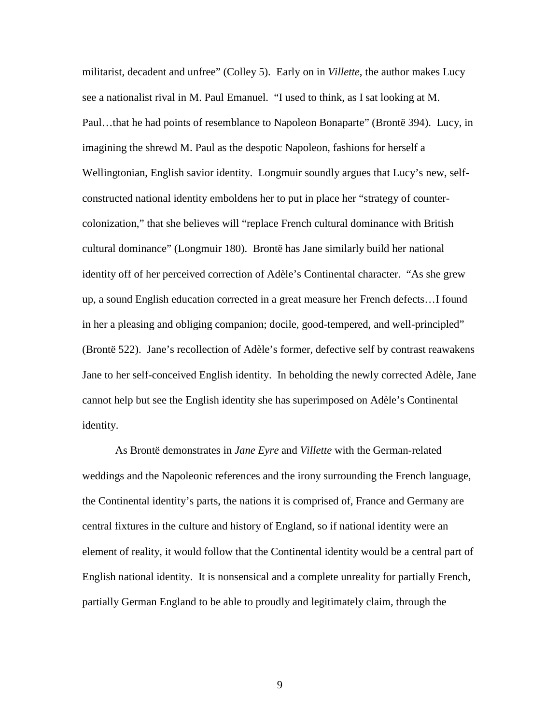militarist, decadent and unfree" (Colley 5). Early on in *Villette*, the author makes Lucy see a nationalist rival in M. Paul Emanuel. "I used to think, as I sat looking at M. Paul…that he had points of resemblance to Napoleon Bonaparte" (Brontë 394). Lucy, in imagining the shrewd M. Paul as the despotic Napoleon, fashions for herself a Wellingtonian, English savior identity. Longmuir soundly argues that Lucy's new, selfconstructed national identity emboldens her to put in place her "strategy of countercolonization," that she believes will "replace French cultural dominance with British cultural dominance" (Longmuir 180). Brontë has Jane similarly build her national identity off of her perceived correction of Adèle's Continental character. "As she grew up, a sound English education corrected in a great measure her French defects…I found in her a pleasing and obliging companion; docile, good-tempered, and well-principled" (Brontë 522). Jane's recollection of Adèle's former, defective self by contrast reawakens Jane to her self-conceived English identity. In beholding the newly corrected Adèle, Jane cannot help but see the English identity she has superimposed on Adèle's Continental identity.

As Brontë demonstrates in *Jane Eyre* and *Villette* with the German-related weddings and the Napoleonic references and the irony surrounding the French language, the Continental identity's parts, the nations it is comprised of, France and Germany are central fixtures in the culture and history of England, so if national identity were an element of reality, it would follow that the Continental identity would be a central part of English national identity. It is nonsensical and a complete unreality for partially French, partially German England to be able to proudly and legitimately claim, through the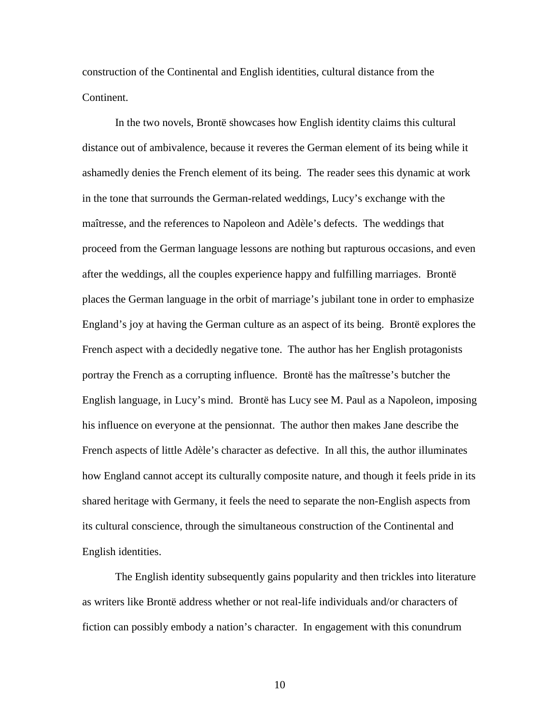construction of the Continental and English identities, cultural distance from the Continent.

In the two novels, Brontë showcases how English identity claims this cultural distance out of ambivalence, because it reveres the German element of its being while it ashamedly denies the French element of its being. The reader sees this dynamic at work in the tone that surrounds the German-related weddings, Lucy's exchange with the maîtresse, and the references to Napoleon and Adèle's defects. The weddings that proceed from the German language lessons are nothing but rapturous occasions, and even after the weddings, all the couples experience happy and fulfilling marriages. Brontë places the German language in the orbit of marriage's jubilant tone in order to emphasize England's joy at having the German culture as an aspect of its being. Brontë explores the French aspect with a decidedly negative tone. The author has her English protagonists portray the French as a corrupting influence. Brontë has the maîtresse's butcher the English language, in Lucy's mind. Brontë has Lucy see M. Paul as a Napoleon, imposing his influence on everyone at the pensionnat. The author then makes Jane describe the French aspects of little Adèle's character as defective. In all this, the author illuminates how England cannot accept its culturally composite nature, and though it feels pride in its shared heritage with Germany, it feels the need to separate the non-English aspects from its cultural conscience, through the simultaneous construction of the Continental and English identities.

The English identity subsequently gains popularity and then trickles into literature as writers like Brontë address whether or not real-life individuals and/or characters of fiction can possibly embody a nation's character. In engagement with this conundrum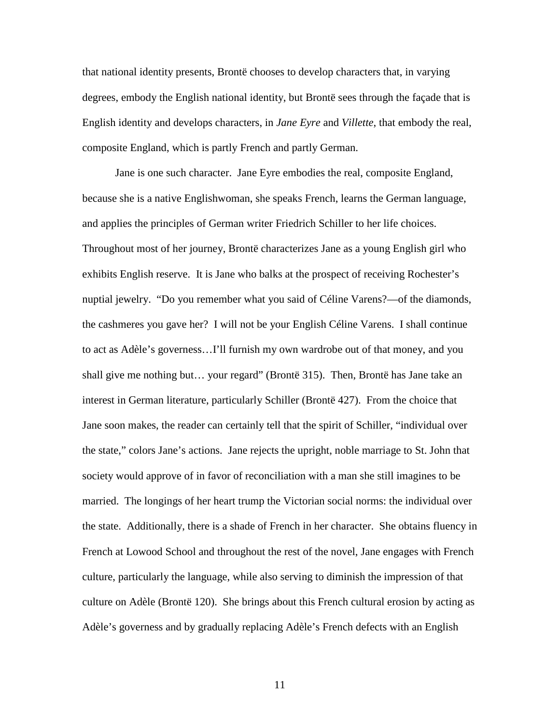that national identity presents, Brontë chooses to develop characters that, in varying degrees, embody the English national identity, but Brontë sees through the façade that is English identity and develops characters, in *Jane Eyre* and *Villette*, that embody the real, composite England, which is partly French and partly German.

Jane is one such character. Jane Eyre embodies the real, composite England, because she is a native Englishwoman, she speaks French, learns the German language, and applies the principles of German writer Friedrich Schiller to her life choices. Throughout most of her journey, Brontë characterizes Jane as a young English girl who exhibits English reserve. It is Jane who balks at the prospect of receiving Rochester's nuptial jewelry. "Do you remember what you said of Céline Varens?—of the diamonds, the cashmeres you gave her? I will not be your English Céline Varens. I shall continue to act as Adèle's governess…I'll furnish my own wardrobe out of that money, and you shall give me nothing but… your regard" (Brontë 315). Then, Brontë has Jane take an interest in German literature, particularly Schiller (Brontë 427). From the choice that Jane soon makes, the reader can certainly tell that the spirit of Schiller, "individual over the state," colors Jane's actions. Jane rejects the upright, noble marriage to St. John that society would approve of in favor of reconciliation with a man she still imagines to be married. The longings of her heart trump the Victorian social norms: the individual over the state. Additionally, there is a shade of French in her character. She obtains fluency in French at Lowood School and throughout the rest of the novel, Jane engages with French culture, particularly the language, while also serving to diminish the impression of that culture on Adèle (Brontë 120). She brings about this French cultural erosion by acting as Adèle's governess and by gradually replacing Adèle's French defects with an English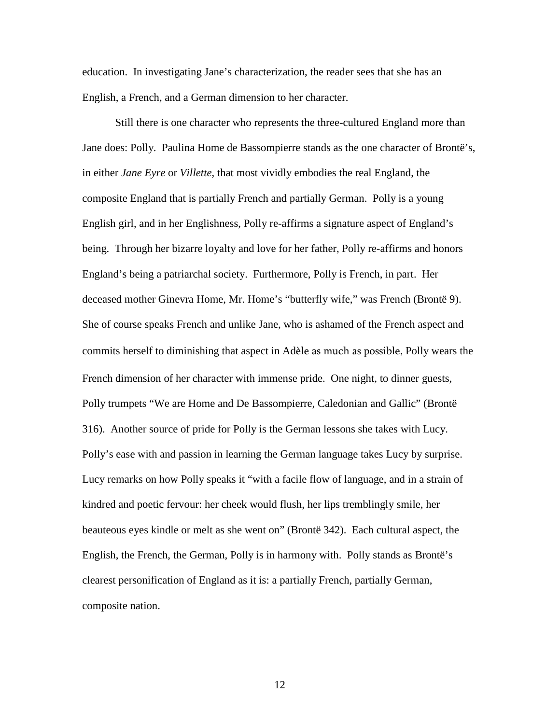education. In investigating Jane's characterization, the reader sees that she has an English, a French, and a German dimension to her character.

Still there is one character who represents the three-cultured England more than Jane does: Polly. Paulina Home de Bassompierre stands as the one character of Brontë's, in either *Jane Eyre* or *Villette*, that most vividly embodies the real England, the composite England that is partially French and partially German. Polly is a young English girl, and in her Englishness, Polly re-affirms a signature aspect of England's being. Through her bizarre loyalty and love for her father, Polly re-affirms and honors England's being a patriarchal society. Furthermore, Polly is French, in part. Her deceased mother Ginevra Home, Mr. Home's "butterfly wife," was French (Brontë 9). She of course speaks French and unlike Jane, who is ashamed of the French aspect and commits herself to diminishing that aspect in Adèle as much as possible, Polly wears the French dimension of her character with immense pride. One night, to dinner guests, Polly trumpets "We are Home and De Bassompierre, Caledonian and Gallic" (Brontë 316). Another source of pride for Polly is the German lessons she takes with Lucy. Polly's ease with and passion in learning the German language takes Lucy by surprise. Lucy remarks on how Polly speaks it "with a facile flow of language, and in a strain of kindred and poetic fervour: her cheek would flush, her lips tremblingly smile, her beauteous eyes kindle or melt as she went on" (Brontë 342). Each cultural aspect, the English, the French, the German, Polly is in harmony with. Polly stands as Brontë's clearest personification of England as it is: a partially French, partially German, composite nation.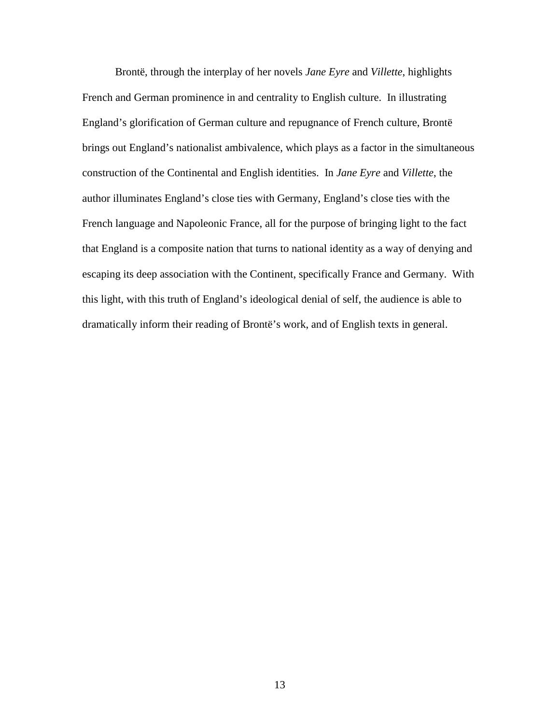Brontë, through the interplay of her novels *Jane Eyre* and *Villette*, highlights French and German prominence in and centrality to English culture. In illustrating England's glorification of German culture and repugnance of French culture, Brontë brings out England's nationalist ambivalence, which plays as a factor in the simultaneous construction of the Continental and English identities. In *Jane Eyre* and *Villette*, the author illuminates England's close ties with Germany, England's close ties with the French language and Napoleonic France, all for the purpose of bringing light to the fact that England is a composite nation that turns to national identity as a way of denying and escaping its deep association with the Continent, specifically France and Germany. With this light, with this truth of England's ideological denial of self, the audience is able to dramatically inform their reading of Brontë's work, and of English texts in general.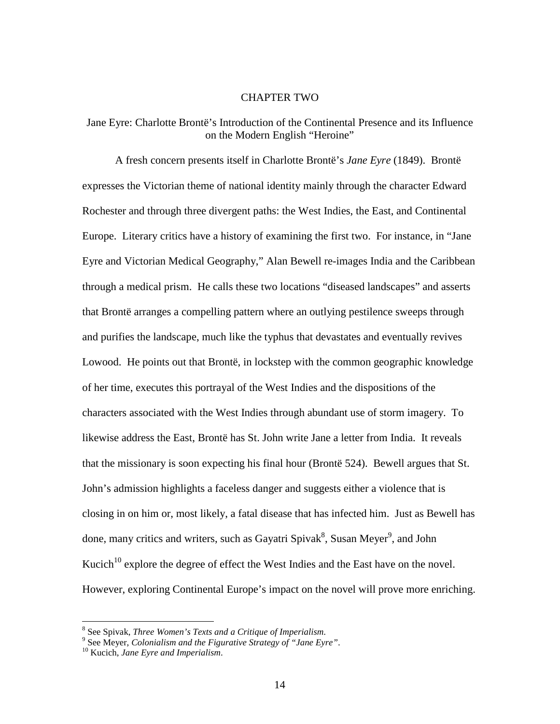### CHAPTER TWO

## Jane Eyre: Charlotte Brontë's Introduction of the Continental Presence and its Influence on the Modern English "Heroine"

 A fresh concern presents itself in Charlotte Brontë's *Jane Eyre* (1849). Brontë expresses the Victorian theme of national identity mainly through the character Edward Rochester and through three divergent paths: the West Indies, the East, and Continental Europe. Literary critics have a history of examining the first two. For instance, in "Jane Eyre and Victorian Medical Geography," Alan Bewell re-images India and the Caribbean through a medical prism. He calls these two locations "diseased landscapes" and asserts that Brontë arranges a compelling pattern where an outlying pestilence sweeps through and purifies the landscape, much like the typhus that devastates and eventually revives Lowood. He points out that Brontë, in lockstep with the common geographic knowledge of her time, executes this portrayal of the West Indies and the dispositions of the characters associated with the West Indies through abundant use of storm imagery. To likewise address the East, Brontë has St. John write Jane a letter from India. It reveals that the missionary is soon expecting his final hour (Brontë 524). Bewell argues that St. John's admission highlights a faceless danger and suggests either a violence that is closing in on him or, most likely, a fatal disease that has infected him. Just as Bewell has done, many critics and writers, such as Gayatri Spivak<sup>8</sup>, Susan Meyer<sup>9</sup>, and John Kucich<sup>10</sup> explore the degree of effect the West Indies and the East have on the novel. However, exploring Continental Europe's impact on the novel will prove more enriching.

 8 See Spivak, *Three Women's Texts and a Critique of Imperialism*. 9 See Meyer, *Colonialism and the Figurative Strategy of "Jane Eyre"*.

<sup>10</sup> Kucich, *Jane Eyre and Imperialism*.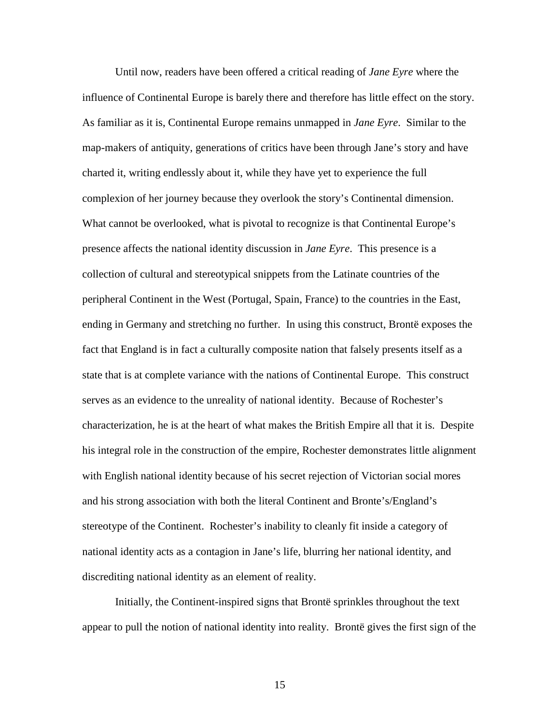Until now, readers have been offered a critical reading of *Jane Eyre* where the influence of Continental Europe is barely there and therefore has little effect on the story. As familiar as it is, Continental Europe remains unmapped in *Jane Eyre*. Similar to the map-makers of antiquity, generations of critics have been through Jane's story and have charted it, writing endlessly about it, while they have yet to experience the full complexion of her journey because they overlook the story's Continental dimension. What cannot be overlooked, what is pivotal to recognize is that Continental Europe's presence affects the national identity discussion in *Jane Eyre*. This presence is a collection of cultural and stereotypical snippets from the Latinate countries of the peripheral Continent in the West (Portugal, Spain, France) to the countries in the East, ending in Germany and stretching no further. In using this construct, Brontë exposes the fact that England is in fact a culturally composite nation that falsely presents itself as a state that is at complete variance with the nations of Continental Europe. This construct serves as an evidence to the unreality of national identity. Because of Rochester's characterization, he is at the heart of what makes the British Empire all that it is. Despite his integral role in the construction of the empire, Rochester demonstrates little alignment with English national identity because of his secret rejection of Victorian social mores and his strong association with both the literal Continent and Bronte's/England's stereotype of the Continent. Rochester's inability to cleanly fit inside a category of national identity acts as a contagion in Jane's life, blurring her national identity, and discrediting national identity as an element of reality.

 Initially, the Continent-inspired signs that Brontë sprinkles throughout the text appear to pull the notion of national identity into reality. Brontë gives the first sign of the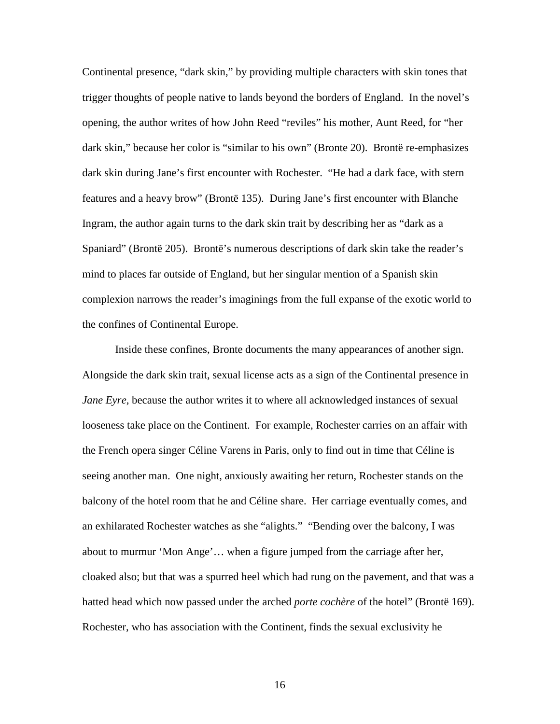Continental presence, "dark skin," by providing multiple characters with skin tones that trigger thoughts of people native to lands beyond the borders of England. In the novel's opening, the author writes of how John Reed "reviles" his mother, Aunt Reed, for "her dark skin," because her color is "similar to his own" (Bronte 20). Brontë re-emphasizes dark skin during Jane's first encounter with Rochester. "He had a dark face, with stern features and a heavy brow" (Brontë 135). During Jane's first encounter with Blanche Ingram, the author again turns to the dark skin trait by describing her as "dark as a Spaniard" (Brontë 205). Brontë's numerous descriptions of dark skin take the reader's mind to places far outside of England, but her singular mention of a Spanish skin complexion narrows the reader's imaginings from the full expanse of the exotic world to the confines of Continental Europe.

 Inside these confines, Bronte documents the many appearances of another sign. Alongside the dark skin trait, sexual license acts as a sign of the Continental presence in *Jane Eyre*, because the author writes it to where all acknowledged instances of sexual looseness take place on the Continent. For example, Rochester carries on an affair with the French opera singer Céline Varens in Paris, only to find out in time that Céline is seeing another man. One night, anxiously awaiting her return, Rochester stands on the balcony of the hotel room that he and Céline share. Her carriage eventually comes, and an exhilarated Rochester watches as she "alights." "Bending over the balcony, I was about to murmur 'Mon Ange'… when a figure jumped from the carriage after her, cloaked also; but that was a spurred heel which had rung on the pavement, and that was a hatted head which now passed under the arched *porte cochère* of the hotel" (Brontë 169). Rochester, who has association with the Continent, finds the sexual exclusivity he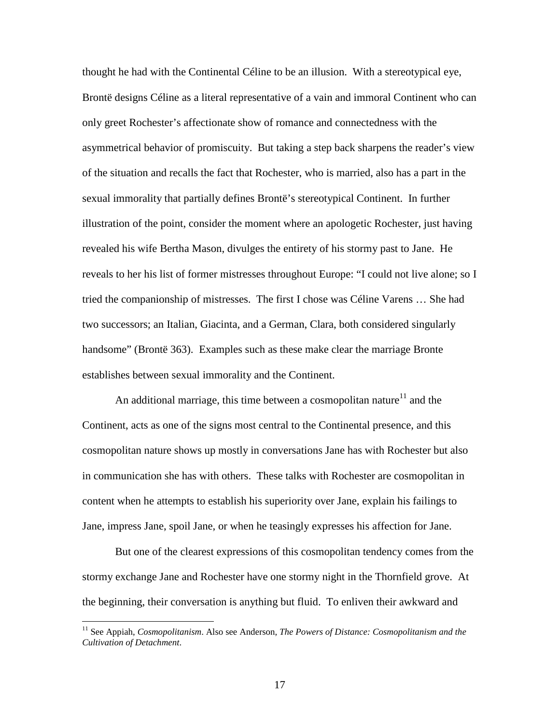thought he had with the Continental Céline to be an illusion. With a stereotypical eye, Brontë designs Céline as a literal representative of a vain and immoral Continent who can only greet Rochester's affectionate show of romance and connectedness with the asymmetrical behavior of promiscuity. But taking a step back sharpens the reader's view of the situation and recalls the fact that Rochester, who is married, also has a part in the sexual immorality that partially defines Brontë's stereotypical Continent. In further illustration of the point, consider the moment where an apologetic Rochester, just having revealed his wife Bertha Mason, divulges the entirety of his stormy past to Jane. He reveals to her his list of former mistresses throughout Europe: "I could not live alone; so I tried the companionship of mistresses. The first I chose was Céline Varens … She had two successors; an Italian, Giacinta, and a German, Clara, both considered singularly handsome" (Brontë 363). Examples such as these make clear the marriage Bronte establishes between sexual immorality and the Continent.

An additional marriage, this time between a cosmopolitan nature<sup>11</sup> and the Continent, acts as one of the signs most central to the Continental presence, and this cosmopolitan nature shows up mostly in conversations Jane has with Rochester but also in communication she has with others. These talks with Rochester are cosmopolitan in content when he attempts to establish his superiority over Jane, explain his failings to Jane, impress Jane, spoil Jane, or when he teasingly expresses his affection for Jane.

 But one of the clearest expressions of this cosmopolitan tendency comes from the stormy exchange Jane and Rochester have one stormy night in the Thornfield grove. At the beginning, their conversation is anything but fluid. To enliven their awkward and

 $\overline{a}$ 

<sup>&</sup>lt;sup>11</sup> See Appiah, *Cosmopolitanism*. Also see Anderson, *The Powers of Distance: Cosmopolitanism and the Cultivation of Detachment*.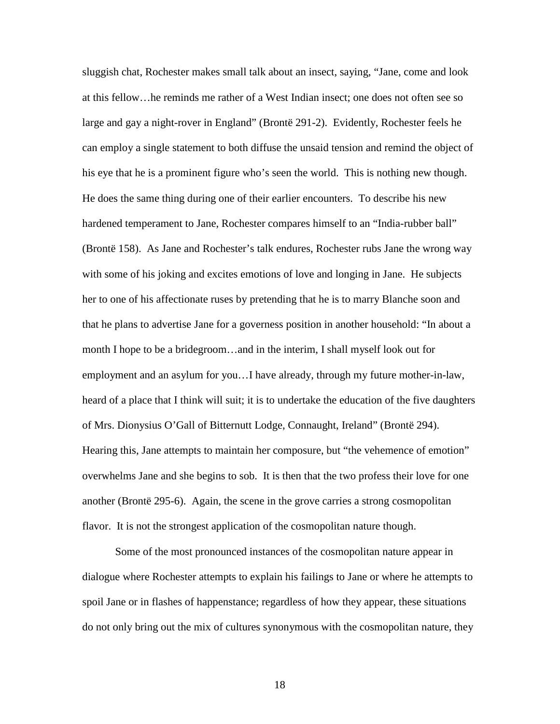sluggish chat, Rochester makes small talk about an insect, saying, "Jane, come and look at this fellow…he reminds me rather of a West Indian insect; one does not often see so large and gay a night-rover in England" (Brontë 291-2). Evidently, Rochester feels he can employ a single statement to both diffuse the unsaid tension and remind the object of his eye that he is a prominent figure who's seen the world. This is nothing new though. He does the same thing during one of their earlier encounters. To describe his new hardened temperament to Jane, Rochester compares himself to an "India-rubber ball" (Brontë 158). As Jane and Rochester's talk endures, Rochester rubs Jane the wrong way with some of his joking and excites emotions of love and longing in Jane. He subjects her to one of his affectionate ruses by pretending that he is to marry Blanche soon and that he plans to advertise Jane for a governess position in another household: "In about a month I hope to be a bridegroom…and in the interim, I shall myself look out for employment and an asylum for you…I have already, through my future mother-in-law, heard of a place that I think will suit; it is to undertake the education of the five daughters of Mrs. Dionysius O'Gall of Bitternutt Lodge, Connaught, Ireland" (Brontë 294). Hearing this, Jane attempts to maintain her composure, but "the vehemence of emotion" overwhelms Jane and she begins to sob. It is then that the two profess their love for one another (Brontë 295-6). Again, the scene in the grove carries a strong cosmopolitan flavor. It is not the strongest application of the cosmopolitan nature though.

 Some of the most pronounced instances of the cosmopolitan nature appear in dialogue where Rochester attempts to explain his failings to Jane or where he attempts to spoil Jane or in flashes of happenstance; regardless of how they appear, these situations do not only bring out the mix of cultures synonymous with the cosmopolitan nature, they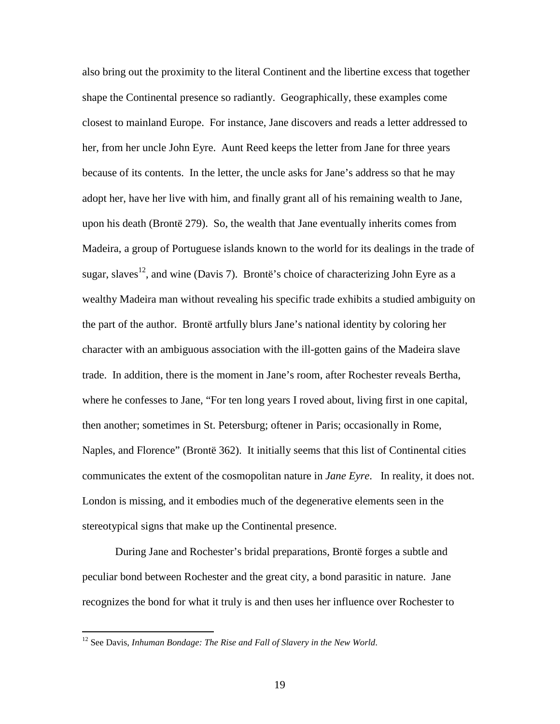also bring out the proximity to the literal Continent and the libertine excess that together shape the Continental presence so radiantly. Geographically, these examples come closest to mainland Europe. For instance, Jane discovers and reads a letter addressed to her, from her uncle John Eyre. Aunt Reed keeps the letter from Jane for three years because of its contents. In the letter, the uncle asks for Jane's address so that he may adopt her, have her live with him, and finally grant all of his remaining wealth to Jane, upon his death (Brontë 279). So, the wealth that Jane eventually inherits comes from Madeira, a group of Portuguese islands known to the world for its dealings in the trade of sugar, slaves<sup>12</sup>, and wine (Davis 7). Brontë's choice of characterizing John Eyre as a wealthy Madeira man without revealing his specific trade exhibits a studied ambiguity on the part of the author. Brontë artfully blurs Jane's national identity by coloring her character with an ambiguous association with the ill-gotten gains of the Madeira slave trade. In addition, there is the moment in Jane's room, after Rochester reveals Bertha, where he confesses to Jane, "For ten long years I roved about, living first in one capital, then another; sometimes in St. Petersburg; oftener in Paris; occasionally in Rome, Naples, and Florence" (Brontë 362). It initially seems that this list of Continental cities communicates the extent of the cosmopolitan nature in *Jane Eyre*. In reality, it does not. London is missing, and it embodies much of the degenerative elements seen in the stereotypical signs that make up the Continental presence.

During Jane and Rochester's bridal preparations, Brontë forges a subtle and peculiar bond between Rochester and the great city, a bond parasitic in nature. Jane recognizes the bond for what it truly is and then uses her influence over Rochester to

 $\overline{a}$ 

<sup>&</sup>lt;sup>12</sup> See Davis, *Inhuman Bondage: The Rise and Fall of Slavery in the New World.*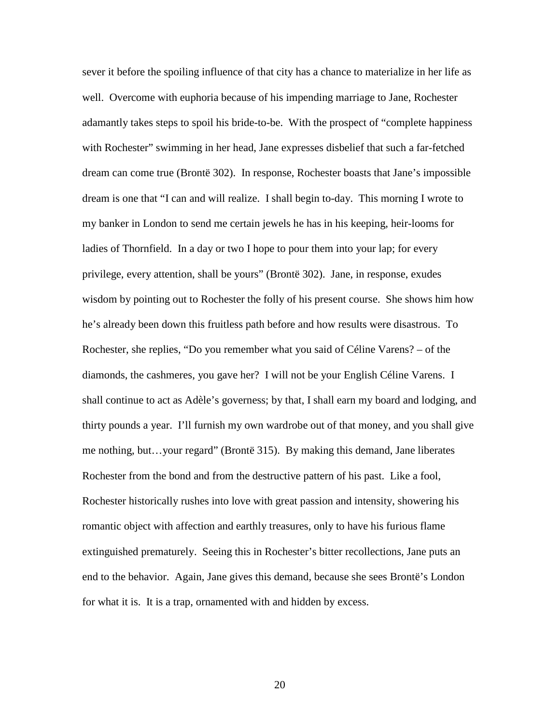sever it before the spoiling influence of that city has a chance to materialize in her life as well. Overcome with euphoria because of his impending marriage to Jane, Rochester adamantly takes steps to spoil his bride-to-be. With the prospect of "complete happiness with Rochester" swimming in her head, Jane expresses disbelief that such a far-fetched dream can come true (Brontë 302). In response, Rochester boasts that Jane's impossible dream is one that "I can and will realize. I shall begin to-day. This morning I wrote to my banker in London to send me certain jewels he has in his keeping, heir-looms for ladies of Thornfield. In a day or two I hope to pour them into your lap; for every privilege, every attention, shall be yours" (Brontë 302). Jane, in response, exudes wisdom by pointing out to Rochester the folly of his present course. She shows him how he's already been down this fruitless path before and how results were disastrous. To Rochester, she replies, "Do you remember what you said of Céline Varens? – of the diamonds, the cashmeres, you gave her? I will not be your English Céline Varens. I shall continue to act as Adèle's governess; by that, I shall earn my board and lodging, and thirty pounds a year. I'll furnish my own wardrobe out of that money, and you shall give me nothing, but…your regard" (Brontë 315). By making this demand, Jane liberates Rochester from the bond and from the destructive pattern of his past. Like a fool, Rochester historically rushes into love with great passion and intensity, showering his romantic object with affection and earthly treasures, only to have his furious flame extinguished prematurely. Seeing this in Rochester's bitter recollections, Jane puts an end to the behavior. Again, Jane gives this demand, because she sees Brontë's London for what it is. It is a trap, ornamented with and hidden by excess.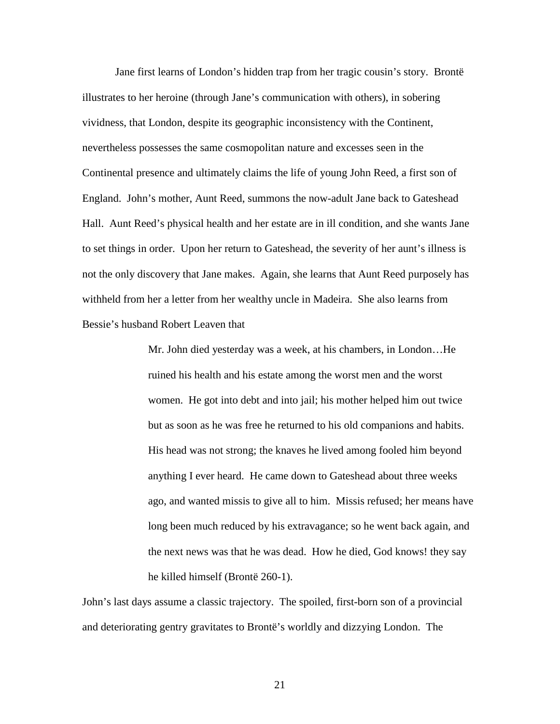Jane first learns of London's hidden trap from her tragic cousin's story. Brontë illustrates to her heroine (through Jane's communication with others), in sobering vividness, that London, despite its geographic inconsistency with the Continent, nevertheless possesses the same cosmopolitan nature and excesses seen in the Continental presence and ultimately claims the life of young John Reed, a first son of England. John's mother, Aunt Reed, summons the now-adult Jane back to Gateshead Hall. Aunt Reed's physical health and her estate are in ill condition, and she wants Jane to set things in order. Upon her return to Gateshead, the severity of her aunt's illness is not the only discovery that Jane makes. Again, she learns that Aunt Reed purposely has withheld from her a letter from her wealthy uncle in Madeira. She also learns from Bessie's husband Robert Leaven that

> Mr. John died yesterday was a week, at his chambers, in London…He ruined his health and his estate among the worst men and the worst women. He got into debt and into jail; his mother helped him out twice but as soon as he was free he returned to his old companions and habits. His head was not strong; the knaves he lived among fooled him beyond anything I ever heard. He came down to Gateshead about three weeks ago, and wanted missis to give all to him. Missis refused; her means have long been much reduced by his extravagance; so he went back again, and the next news was that he was dead. How he died, God knows! they say he killed himself (Brontë 260-1).

John's last days assume a classic trajectory. The spoiled, first-born son of a provincial and deteriorating gentry gravitates to Brontë's worldly and dizzying London. The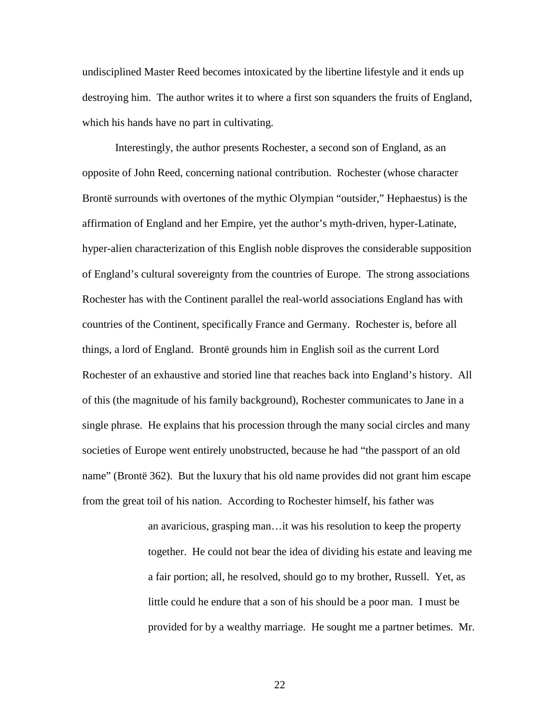undisciplined Master Reed becomes intoxicated by the libertine lifestyle and it ends up destroying him. The author writes it to where a first son squanders the fruits of England, which his hands have no part in cultivating.

 Interestingly, the author presents Rochester, a second son of England, as an opposite of John Reed, concerning national contribution. Rochester (whose character Brontë surrounds with overtones of the mythic Olympian "outsider," Hephaestus) is the affirmation of England and her Empire, yet the author's myth-driven, hyper-Latinate, hyper-alien characterization of this English noble disproves the considerable supposition of England's cultural sovereignty from the countries of Europe. The strong associations Rochester has with the Continent parallel the real-world associations England has with countries of the Continent, specifically France and Germany. Rochester is, before all things, a lord of England. Brontë grounds him in English soil as the current Lord Rochester of an exhaustive and storied line that reaches back into England's history. All of this (the magnitude of his family background), Rochester communicates to Jane in a single phrase. He explains that his procession through the many social circles and many societies of Europe went entirely unobstructed, because he had "the passport of an old name" (Brontë 362). But the luxury that his old name provides did not grant him escape from the great toil of his nation. According to Rochester himself, his father was

> an avaricious, grasping man…it was his resolution to keep the property together. He could not bear the idea of dividing his estate and leaving me a fair portion; all, he resolved, should go to my brother, Russell. Yet, as little could he endure that a son of his should be a poor man. I must be provided for by a wealthy marriage. He sought me a partner betimes. Mr.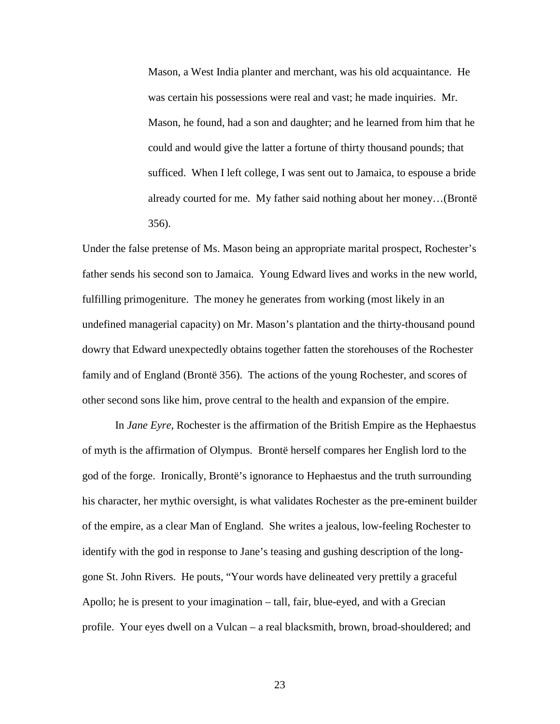Mason, a West India planter and merchant, was his old acquaintance. He was certain his possessions were real and vast; he made inquiries. Mr. Mason, he found, had a son and daughter; and he learned from him that he could and would give the latter a fortune of thirty thousand pounds; that sufficed. When I left college, I was sent out to Jamaica, to espouse a bride already courted for me. My father said nothing about her money…(Brontë 356).

Under the false pretense of Ms. Mason being an appropriate marital prospect, Rochester's father sends his second son to Jamaica. Young Edward lives and works in the new world, fulfilling primogeniture. The money he generates from working (most likely in an undefined managerial capacity) on Mr. Mason's plantation and the thirty-thousand pound dowry that Edward unexpectedly obtains together fatten the storehouses of the Rochester family and of England (Brontë 356). The actions of the young Rochester, and scores of other second sons like him, prove central to the health and expansion of the empire.

In *Jane Eyre*, Rochester is the affirmation of the British Empire as the Hephaestus of myth is the affirmation of Olympus. Brontë herself compares her English lord to the god of the forge. Ironically, Brontë's ignorance to Hephaestus and the truth surrounding his character, her mythic oversight, is what validates Rochester as the pre-eminent builder of the empire, as a clear Man of England. She writes a jealous, low-feeling Rochester to identify with the god in response to Jane's teasing and gushing description of the longgone St. John Rivers. He pouts, "Your words have delineated very prettily a graceful Apollo; he is present to your imagination – tall, fair, blue-eyed, and with a Grecian profile. Your eyes dwell on a Vulcan – a real blacksmith, brown, broad-shouldered; and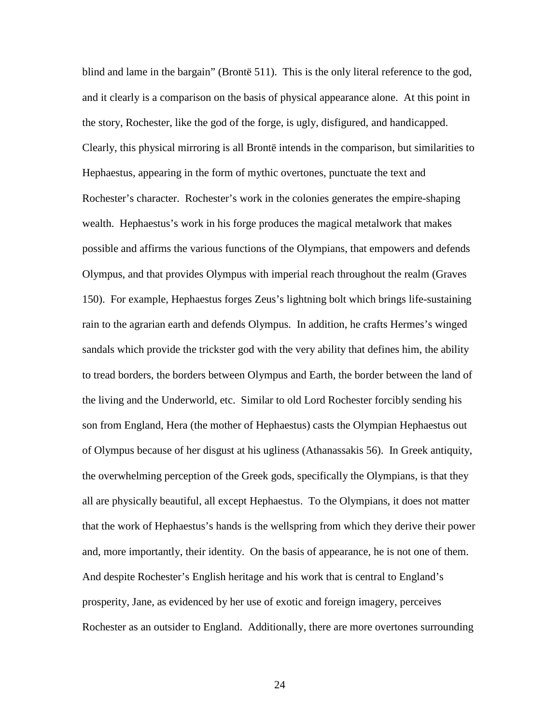blind and lame in the bargain" (Brontë 511). This is the only literal reference to the god, and it clearly is a comparison on the basis of physical appearance alone. At this point in the story, Rochester, like the god of the forge, is ugly, disfigured, and handicapped. Clearly, this physical mirroring is all Brontë intends in the comparison, but similarities to Hephaestus, appearing in the form of mythic overtones, punctuate the text and Rochester's character. Rochester's work in the colonies generates the empire-shaping wealth. Hephaestus's work in his forge produces the magical metalwork that makes possible and affirms the various functions of the Olympians, that empowers and defends Olympus, and that provides Olympus with imperial reach throughout the realm (Graves 150). For example, Hephaestus forges Zeus's lightning bolt which brings life-sustaining rain to the agrarian earth and defends Olympus. In addition, he crafts Hermes's winged sandals which provide the trickster god with the very ability that defines him, the ability to tread borders, the borders between Olympus and Earth, the border between the land of the living and the Underworld, etc. Similar to old Lord Rochester forcibly sending his son from England, Hera (the mother of Hephaestus) casts the Olympian Hephaestus out of Olympus because of her disgust at his ugliness (Athanassakis 56). In Greek antiquity, the overwhelming perception of the Greek gods, specifically the Olympians, is that they all are physically beautiful, all except Hephaestus. To the Olympians, it does not matter that the work of Hephaestus's hands is the wellspring from which they derive their power and, more importantly, their identity. On the basis of appearance, he is not one of them. And despite Rochester's English heritage and his work that is central to England's prosperity, Jane, as evidenced by her use of exotic and foreign imagery, perceives Rochester as an outsider to England. Additionally, there are more overtones surrounding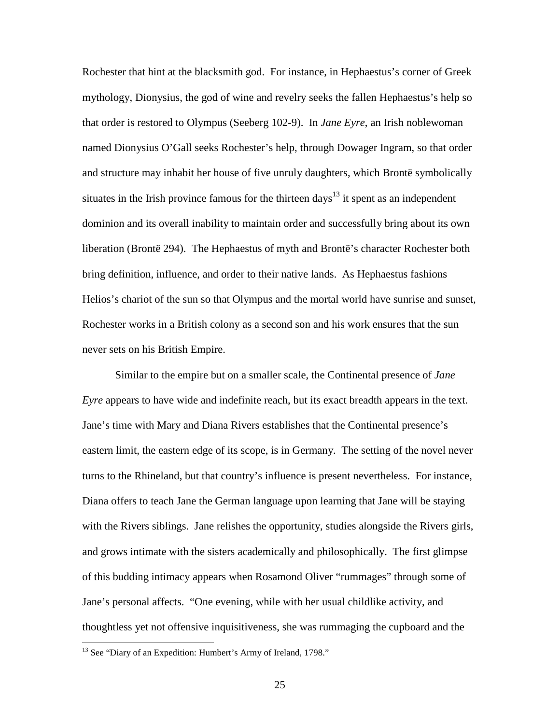Rochester that hint at the blacksmith god. For instance, in Hephaestus's corner of Greek mythology, Dionysius, the god of wine and revelry seeks the fallen Hephaestus's help so that order is restored to Olympus (Seeberg 102-9). In *Jane Eyre*, an Irish noblewoman named Dionysius O'Gall seeks Rochester's help, through Dowager Ingram, so that order and structure may inhabit her house of five unruly daughters, which Brontë symbolically situates in the Irish province famous for the thirteen days<sup>13</sup> it spent as an independent dominion and its overall inability to maintain order and successfully bring about its own liberation (Brontë 294). The Hephaestus of myth and Brontë's character Rochester both bring definition, influence, and order to their native lands. As Hephaestus fashions Helios's chariot of the sun so that Olympus and the mortal world have sunrise and sunset, Rochester works in a British colony as a second son and his work ensures that the sun never sets on his British Empire.

 Similar to the empire but on a smaller scale, the Continental presence of *Jane Eyre* appears to have wide and indefinite reach, but its exact breadth appears in the text. Jane's time with Mary and Diana Rivers establishes that the Continental presence's eastern limit, the eastern edge of its scope, is in Germany. The setting of the novel never turns to the Rhineland, but that country's influence is present nevertheless. For instance, Diana offers to teach Jane the German language upon learning that Jane will be staying with the Rivers siblings. Jane relishes the opportunity, studies alongside the Rivers girls, and grows intimate with the sisters academically and philosophically. The first glimpse of this budding intimacy appears when Rosamond Oliver "rummages" through some of Jane's personal affects. "One evening, while with her usual childlike activity, and thoughtless yet not offensive inquisitiveness, she was rummaging the cupboard and the

<u>.</u>

<sup>&</sup>lt;sup>13</sup> See "Diary of an Expedition: Humbert's Army of Ireland, 1798."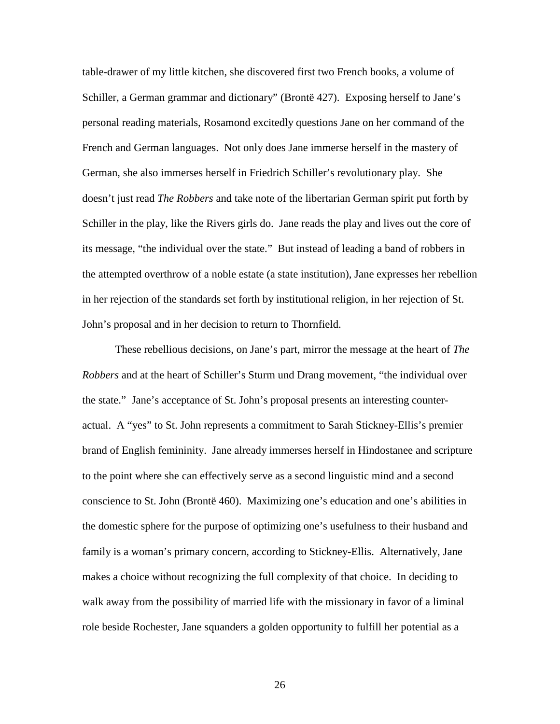table-drawer of my little kitchen, she discovered first two French books, a volume of Schiller, a German grammar and dictionary" (Brontë 427). Exposing herself to Jane's personal reading materials, Rosamond excitedly questions Jane on her command of the French and German languages. Not only does Jane immerse herself in the mastery of German, she also immerses herself in Friedrich Schiller's revolutionary play. She doesn't just read *The Robbers* and take note of the libertarian German spirit put forth by Schiller in the play, like the Rivers girls do. Jane reads the play and lives out the core of its message, "the individual over the state." But instead of leading a band of robbers in the attempted overthrow of a noble estate (a state institution), Jane expresses her rebellion in her rejection of the standards set forth by institutional religion, in her rejection of St. John's proposal and in her decision to return to Thornfield.

 These rebellious decisions, on Jane's part, mirror the message at the heart of *The Robbers* and at the heart of Schiller's Sturm und Drang movement, "the individual over the state." Jane's acceptance of St. John's proposal presents an interesting counteractual. A "yes" to St. John represents a commitment to Sarah Stickney-Ellis's premier brand of English femininity. Jane already immerses herself in Hindostanee and scripture to the point where she can effectively serve as a second linguistic mind and a second conscience to St. John (Brontë 460). Maximizing one's education and one's abilities in the domestic sphere for the purpose of optimizing one's usefulness to their husband and family is a woman's primary concern, according to Stickney-Ellis. Alternatively, Jane makes a choice without recognizing the full complexity of that choice. In deciding to walk away from the possibility of married life with the missionary in favor of a liminal role beside Rochester, Jane squanders a golden opportunity to fulfill her potential as a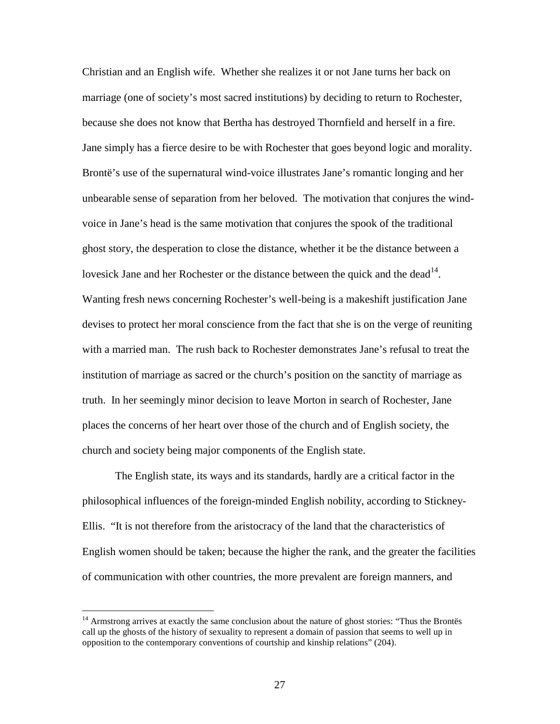Christian and an English wife. Whether she realizes it or not Jane turns her back on marriage (one of society's most sacred institutions) by deciding to return to Rochester, because she does not know that Bertha has destroyed Thornfield and herself in a fire. Jane simply has a fierce desire to be with Rochester that goes beyond logic and morality. Brontë's use of the supernatural wind-voice illustrates Jane's romantic longing and her unbearable sense of separation from her beloved. The motivation that conjures the windvoice in Jane's head is the same motivation that conjures the spook of the traditional ghost story, the desperation to close the distance, whether it be the distance between a lovesick Jane and her Rochester or the distance between the quick and the dead<sup>14</sup>. Wanting fresh news concerning Rochester's well-being is a makeshift justification Jane devises to protect her moral conscience from the fact that she is on the verge of reuniting with a married man. The rush back to Rochester demonstrates Jane's refusal to treat the institution of marriage as sacred or the church's position on the sanctity of marriage as truth. In her seemingly minor decision to leave Morton in search of Rochester, Jane places the concerns of her heart over those of the church and of English society, the church and society being major components of the English state.

 The English state, its ways and its standards, hardly are a critical factor in the philosophical influences of the foreign-minded English nobility, according to Stickney-Ellis. "It is not therefore from the aristocracy of the land that the characteristics of English women should be taken; because the higher the rank, and the greater the facilities of communication with other countries, the more prevalent are foreign manners, and

 $\overline{a}$ 

<sup>&</sup>lt;sup>14</sup> Armstrong arrives at exactly the same conclusion about the nature of ghost stories: "Thus the Brontës call up the ghosts of the history of sexuality to represent a domain of passion that seems to well up in opposition to the contemporary conventions of courtship and kinship relations" (204).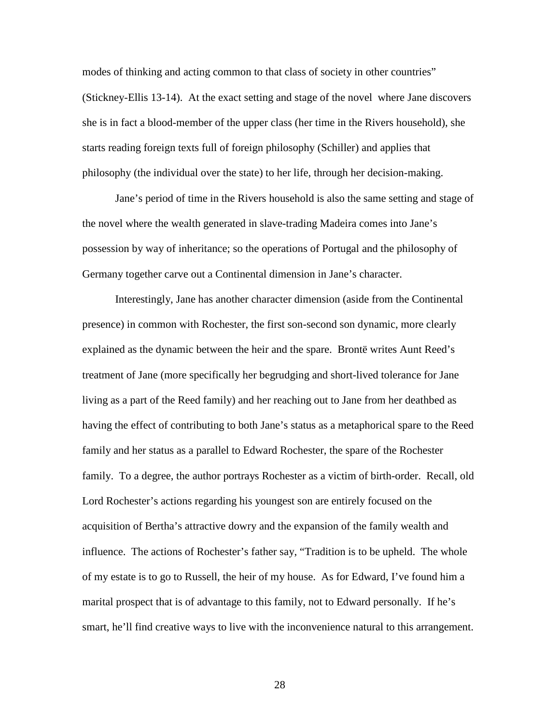modes of thinking and acting common to that class of society in other countries" (Stickney-Ellis 13-14). At the exact setting and stage of the novel where Jane discovers she is in fact a blood-member of the upper class (her time in the Rivers household), she starts reading foreign texts full of foreign philosophy (Schiller) and applies that philosophy (the individual over the state) to her life, through her decision-making.

 Jane's period of time in the Rivers household is also the same setting and stage of the novel where the wealth generated in slave-trading Madeira comes into Jane's possession by way of inheritance; so the operations of Portugal and the philosophy of Germany together carve out a Continental dimension in Jane's character.

 Interestingly, Jane has another character dimension (aside from the Continental presence) in common with Rochester, the first son-second son dynamic, more clearly explained as the dynamic between the heir and the spare. Brontë writes Aunt Reed's treatment of Jane (more specifically her begrudging and short-lived tolerance for Jane living as a part of the Reed family) and her reaching out to Jane from her deathbed as having the effect of contributing to both Jane's status as a metaphorical spare to the Reed family and her status as a parallel to Edward Rochester, the spare of the Rochester family. To a degree, the author portrays Rochester as a victim of birth-order. Recall, old Lord Rochester's actions regarding his youngest son are entirely focused on the acquisition of Bertha's attractive dowry and the expansion of the family wealth and influence. The actions of Rochester's father say, "Tradition is to be upheld. The whole of my estate is to go to Russell, the heir of my house. As for Edward, I've found him a marital prospect that is of advantage to this family, not to Edward personally. If he's smart, he'll find creative ways to live with the inconvenience natural to this arrangement.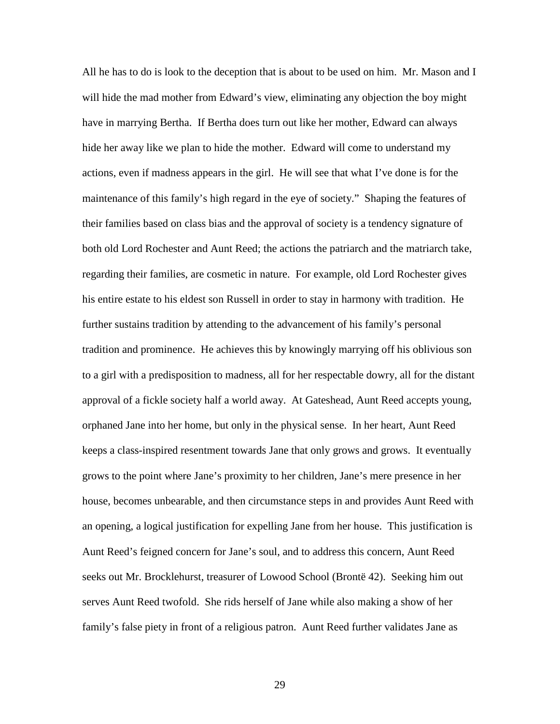All he has to do is look to the deception that is about to be used on him. Mr. Mason and I will hide the mad mother from Edward's view, eliminating any objection the boy might have in marrying Bertha. If Bertha does turn out like her mother, Edward can always hide her away like we plan to hide the mother. Edward will come to understand my actions, even if madness appears in the girl. He will see that what I've done is for the maintenance of this family's high regard in the eye of society." Shaping the features of their families based on class bias and the approval of society is a tendency signature of both old Lord Rochester and Aunt Reed; the actions the patriarch and the matriarch take, regarding their families, are cosmetic in nature. For example, old Lord Rochester gives his entire estate to his eldest son Russell in order to stay in harmony with tradition. He further sustains tradition by attending to the advancement of his family's personal tradition and prominence. He achieves this by knowingly marrying off his oblivious son to a girl with a predisposition to madness, all for her respectable dowry, all for the distant approval of a fickle society half a world away. At Gateshead, Aunt Reed accepts young, orphaned Jane into her home, but only in the physical sense. In her heart, Aunt Reed keeps a class-inspired resentment towards Jane that only grows and grows. It eventually grows to the point where Jane's proximity to her children, Jane's mere presence in her house, becomes unbearable, and then circumstance steps in and provides Aunt Reed with an opening, a logical justification for expelling Jane from her house. This justification is Aunt Reed's feigned concern for Jane's soul, and to address this concern, Aunt Reed seeks out Mr. Brocklehurst, treasurer of Lowood School (Brontë 42). Seeking him out serves Aunt Reed twofold. She rids herself of Jane while also making a show of her family's false piety in front of a religious patron. Aunt Reed further validates Jane as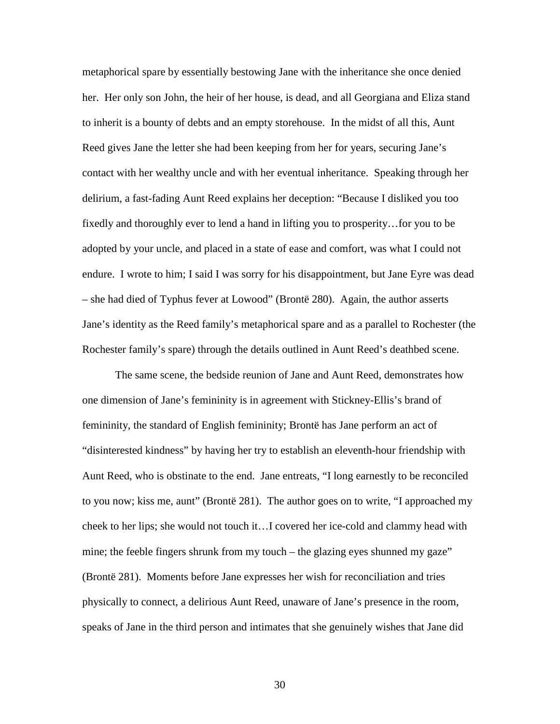metaphorical spare by essentially bestowing Jane with the inheritance she once denied her. Her only son John, the heir of her house, is dead, and all Georgiana and Eliza stand to inherit is a bounty of debts and an empty storehouse. In the midst of all this, Aunt Reed gives Jane the letter she had been keeping from her for years, securing Jane's contact with her wealthy uncle and with her eventual inheritance. Speaking through her delirium, a fast-fading Aunt Reed explains her deception: "Because I disliked you too fixedly and thoroughly ever to lend a hand in lifting you to prosperity…for you to be adopted by your uncle, and placed in a state of ease and comfort, was what I could not endure. I wrote to him; I said I was sorry for his disappointment, but Jane Eyre was dead – she had died of Typhus fever at Lowood" (Brontë 280). Again, the author asserts Jane's identity as the Reed family's metaphorical spare and as a parallel to Rochester (the Rochester family's spare) through the details outlined in Aunt Reed's deathbed scene.

 The same scene, the bedside reunion of Jane and Aunt Reed, demonstrates how one dimension of Jane's femininity is in agreement with Stickney-Ellis's brand of femininity, the standard of English femininity; Brontë has Jane perform an act of "disinterested kindness" by having her try to establish an eleventh-hour friendship with Aunt Reed, who is obstinate to the end. Jane entreats, "I long earnestly to be reconciled to you now; kiss me, aunt" (Brontë 281). The author goes on to write, "I approached my cheek to her lips; she would not touch it…I covered her ice-cold and clammy head with mine; the feeble fingers shrunk from my touch – the glazing eyes shunned my gaze" (Brontë 281). Moments before Jane expresses her wish for reconciliation and tries physically to connect, a delirious Aunt Reed, unaware of Jane's presence in the room, speaks of Jane in the third person and intimates that she genuinely wishes that Jane did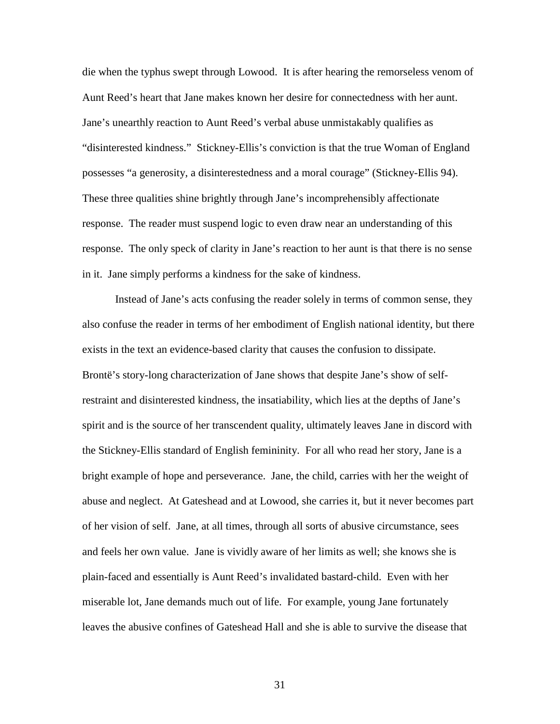die when the typhus swept through Lowood. It is after hearing the remorseless venom of Aunt Reed's heart that Jane makes known her desire for connectedness with her aunt. Jane's unearthly reaction to Aunt Reed's verbal abuse unmistakably qualifies as "disinterested kindness." Stickney-Ellis's conviction is that the true Woman of England possesses "a generosity, a disinterestedness and a moral courage" (Stickney-Ellis 94). These three qualities shine brightly through Jane's incomprehensibly affectionate response. The reader must suspend logic to even draw near an understanding of this response. The only speck of clarity in Jane's reaction to her aunt is that there is no sense in it. Jane simply performs a kindness for the sake of kindness.

 Instead of Jane's acts confusing the reader solely in terms of common sense, they also confuse the reader in terms of her embodiment of English national identity, but there exists in the text an evidence-based clarity that causes the confusion to dissipate. Brontë's story-long characterization of Jane shows that despite Jane's show of selfrestraint and disinterested kindness, the insatiability, which lies at the depths of Jane's spirit and is the source of her transcendent quality, ultimately leaves Jane in discord with the Stickney-Ellis standard of English femininity. For all who read her story, Jane is a bright example of hope and perseverance. Jane, the child, carries with her the weight of abuse and neglect. At Gateshead and at Lowood, she carries it, but it never becomes part of her vision of self. Jane, at all times, through all sorts of abusive circumstance, sees and feels her own value. Jane is vividly aware of her limits as well; she knows she is plain-faced and essentially is Aunt Reed's invalidated bastard-child. Even with her miserable lot, Jane demands much out of life. For example, young Jane fortunately leaves the abusive confines of Gateshead Hall and she is able to survive the disease that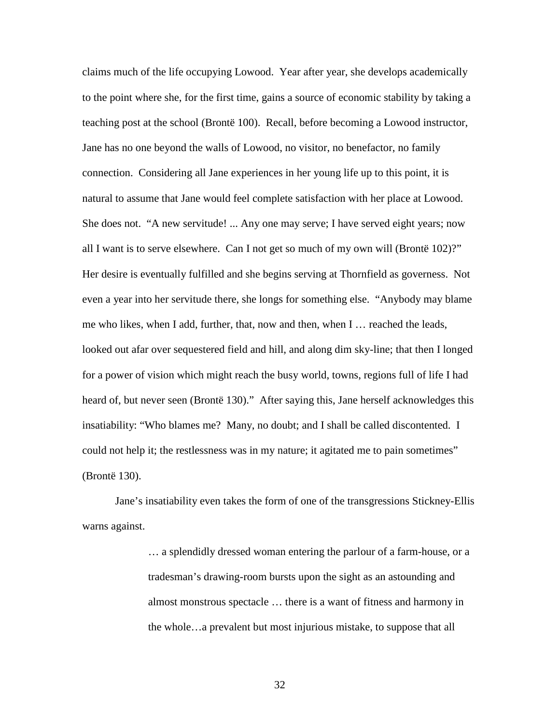claims much of the life occupying Lowood. Year after year, she develops academically to the point where she, for the first time, gains a source of economic stability by taking a teaching post at the school (Brontë 100). Recall, before becoming a Lowood instructor, Jane has no one beyond the walls of Lowood, no visitor, no benefactor, no family connection. Considering all Jane experiences in her young life up to this point, it is natural to assume that Jane would feel complete satisfaction with her place at Lowood. She does not. "A new servitude! ... Any one may serve; I have served eight years; now all I want is to serve elsewhere. Can I not get so much of my own will (Brontë 102)?" Her desire is eventually fulfilled and she begins serving at Thornfield as governess. Not even a year into her servitude there, she longs for something else. "Anybody may blame me who likes, when I add, further, that, now and then, when I … reached the leads, looked out afar over sequestered field and hill, and along dim sky-line; that then I longed for a power of vision which might reach the busy world, towns, regions full of life I had heard of, but never seen (Brontë 130)." After saying this, Jane herself acknowledges this insatiability: "Who blames me? Many, no doubt; and I shall be called discontented. I could not help it; the restlessness was in my nature; it agitated me to pain sometimes" (Brontë 130).

Jane's insatiability even takes the form of one of the transgressions Stickney-Ellis warns against.

> … a splendidly dressed woman entering the parlour of a farm-house, or a tradesman's drawing-room bursts upon the sight as an astounding and almost monstrous spectacle … there is a want of fitness and harmony in the whole…a prevalent but most injurious mistake, to suppose that all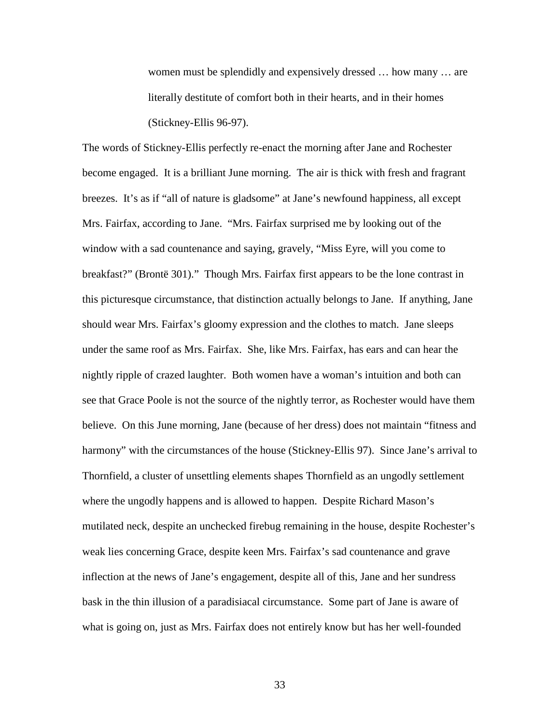women must be splendidly and expensively dressed … how many … are literally destitute of comfort both in their hearts, and in their homes (Stickney-Ellis 96-97).

The words of Stickney-Ellis perfectly re-enact the morning after Jane and Rochester become engaged. It is a brilliant June morning. The air is thick with fresh and fragrant breezes. It's as if "all of nature is gladsome" at Jane's newfound happiness, all except Mrs. Fairfax, according to Jane. "Mrs. Fairfax surprised me by looking out of the window with a sad countenance and saying, gravely, "Miss Eyre, will you come to breakfast?" (Brontë 301)." Though Mrs. Fairfax first appears to be the lone contrast in this picturesque circumstance, that distinction actually belongs to Jane. If anything, Jane should wear Mrs. Fairfax's gloomy expression and the clothes to match. Jane sleeps under the same roof as Mrs. Fairfax. She, like Mrs. Fairfax, has ears and can hear the nightly ripple of crazed laughter. Both women have a woman's intuition and both can see that Grace Poole is not the source of the nightly terror, as Rochester would have them believe. On this June morning, Jane (because of her dress) does not maintain "fitness and harmony" with the circumstances of the house (Stickney-Ellis 97). Since Jane's arrival to Thornfield, a cluster of unsettling elements shapes Thornfield as an ungodly settlement where the ungodly happens and is allowed to happen. Despite Richard Mason's mutilated neck, despite an unchecked firebug remaining in the house, despite Rochester's weak lies concerning Grace, despite keen Mrs. Fairfax's sad countenance and grave inflection at the news of Jane's engagement, despite all of this, Jane and her sundress bask in the thin illusion of a paradisiacal circumstance. Some part of Jane is aware of what is going on, just as Mrs. Fairfax does not entirely know but has her well-founded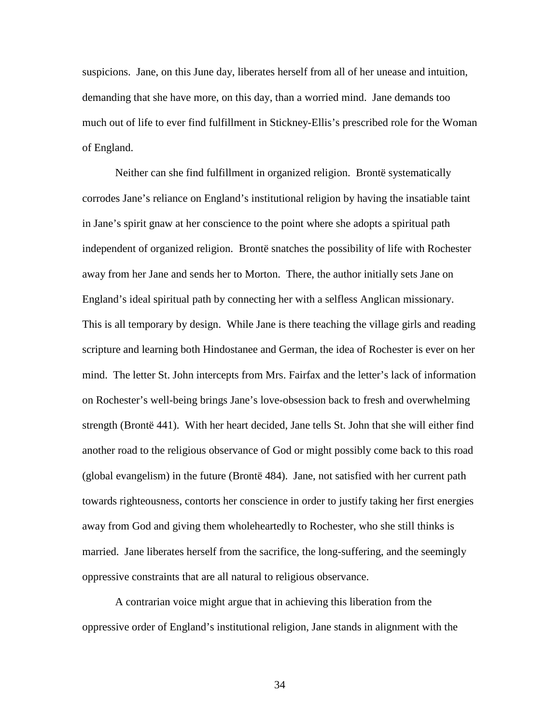suspicions. Jane, on this June day, liberates herself from all of her unease and intuition, demanding that she have more, on this day, than a worried mind. Jane demands too much out of life to ever find fulfillment in Stickney-Ellis's prescribed role for the Woman of England.

 Neither can she find fulfillment in organized religion. Brontë systematically corrodes Jane's reliance on England's institutional religion by having the insatiable taint in Jane's spirit gnaw at her conscience to the point where she adopts a spiritual path independent of organized religion. Brontë snatches the possibility of life with Rochester away from her Jane and sends her to Morton. There, the author initially sets Jane on England's ideal spiritual path by connecting her with a selfless Anglican missionary. This is all temporary by design. While Jane is there teaching the village girls and reading scripture and learning both Hindostanee and German, the idea of Rochester is ever on her mind. The letter St. John intercepts from Mrs. Fairfax and the letter's lack of information on Rochester's well-being brings Jane's love-obsession back to fresh and overwhelming strength (Brontë 441). With her heart decided, Jane tells St. John that she will either find another road to the religious observance of God or might possibly come back to this road (global evangelism) in the future (Brontë 484). Jane, not satisfied with her current path towards righteousness, contorts her conscience in order to justify taking her first energies away from God and giving them wholeheartedly to Rochester, who she still thinks is married. Jane liberates herself from the sacrifice, the long-suffering, and the seemingly oppressive constraints that are all natural to religious observance.

 A contrarian voice might argue that in achieving this liberation from the oppressive order of England's institutional religion, Jane stands in alignment with the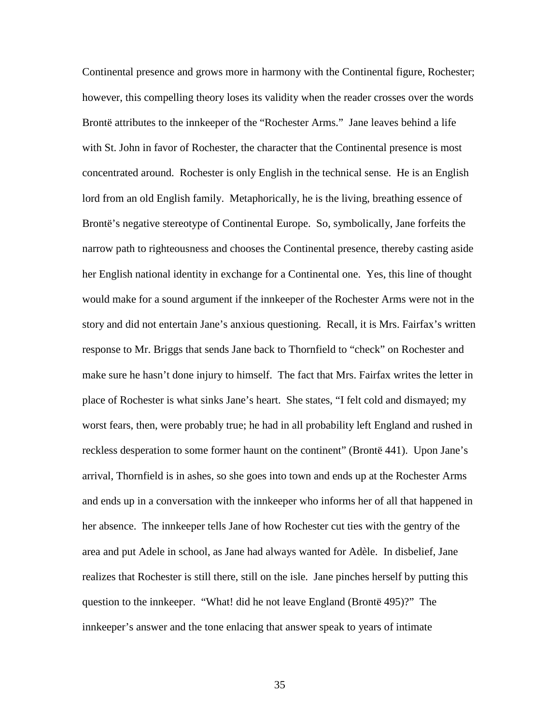Continental presence and grows more in harmony with the Continental figure, Rochester; however, this compelling theory loses its validity when the reader crosses over the words Brontë attributes to the innkeeper of the "Rochester Arms." Jane leaves behind a life with St. John in favor of Rochester, the character that the Continental presence is most concentrated around. Rochester is only English in the technical sense. He is an English lord from an old English family. Metaphorically, he is the living, breathing essence of Brontë's negative stereotype of Continental Europe. So, symbolically, Jane forfeits the narrow path to righteousness and chooses the Continental presence, thereby casting aside her English national identity in exchange for a Continental one. Yes, this line of thought would make for a sound argument if the innkeeper of the Rochester Arms were not in the story and did not entertain Jane's anxious questioning. Recall, it is Mrs. Fairfax's written response to Mr. Briggs that sends Jane back to Thornfield to "check" on Rochester and make sure he hasn't done injury to himself. The fact that Mrs. Fairfax writes the letter in place of Rochester is what sinks Jane's heart. She states, "I felt cold and dismayed; my worst fears, then, were probably true; he had in all probability left England and rushed in reckless desperation to some former haunt on the continent" (Brontë 441). Upon Jane's arrival, Thornfield is in ashes, so she goes into town and ends up at the Rochester Arms and ends up in a conversation with the innkeeper who informs her of all that happened in her absence. The innkeeper tells Jane of how Rochester cut ties with the gentry of the area and put Adele in school, as Jane had always wanted for Adèle. In disbelief, Jane realizes that Rochester is still there, still on the isle. Jane pinches herself by putting this question to the innkeeper. "What! did he not leave England (Brontë 495)?" The innkeeper's answer and the tone enlacing that answer speak to years of intimate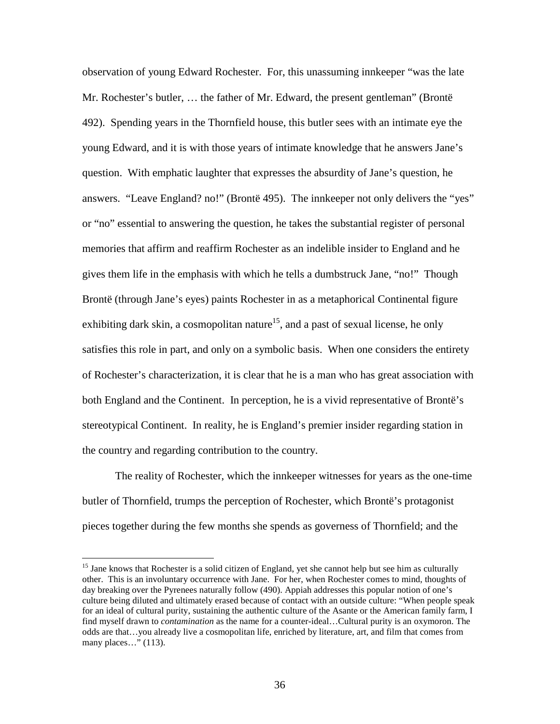observation of young Edward Rochester. For, this unassuming innkeeper "was the late Mr. Rochester's butler, … the father of Mr. Edward, the present gentleman" (Brontë 492). Spending years in the Thornfield house, this butler sees with an intimate eye the young Edward, and it is with those years of intimate knowledge that he answers Jane's question. With emphatic laughter that expresses the absurdity of Jane's question, he answers. "Leave England? no!" (Brontë 495). The innkeeper not only delivers the "yes" or "no" essential to answering the question, he takes the substantial register of personal memories that affirm and reaffirm Rochester as an indelible insider to England and he gives them life in the emphasis with which he tells a dumbstruck Jane, "no!" Though Brontë (through Jane's eyes) paints Rochester in as a metaphorical Continental figure exhibiting dark skin, a cosmopolitan nature<sup>15</sup>, and a past of sexual license, he only satisfies this role in part, and only on a symbolic basis. When one considers the entirety of Rochester's characterization, it is clear that he is a man who has great association with both England and the Continent. In perception, he is a vivid representative of Brontë's stereotypical Continent. In reality, he is England's premier insider regarding station in the country and regarding contribution to the country.

 The reality of Rochester, which the innkeeper witnesses for years as the one-time butler of Thornfield, trumps the perception of Rochester, which Brontë's protagonist pieces together during the few months she spends as governess of Thornfield; and the

 $\overline{a}$ 

<sup>&</sup>lt;sup>15</sup> Jane knows that Rochester is a solid citizen of England, yet she cannot help but see him as culturally other. This is an involuntary occurrence with Jane. For her, when Rochester comes to mind, thoughts of day breaking over the Pyrenees naturally follow (490). Appiah addresses this popular notion of one's culture being diluted and ultimately erased because of contact with an outside culture: "When people speak for an ideal of cultural purity, sustaining the authentic culture of the Asante or the American family farm, I find myself drawn to *contamination* as the name for a counter-ideal…Cultural purity is an oxymoron. The odds are that…you already live a cosmopolitan life, enriched by literature, art, and film that comes from many places…" (113).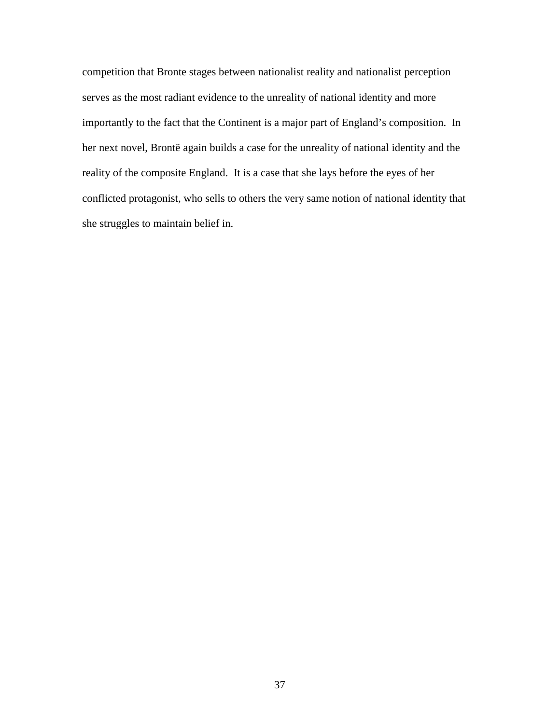competition that Bronte stages between nationalist reality and nationalist perception serves as the most radiant evidence to the unreality of national identity and more importantly to the fact that the Continent is a major part of England's composition. In her next novel, Brontë again builds a case for the unreality of national identity and the reality of the composite England. It is a case that she lays before the eyes of her conflicted protagonist, who sells to others the very same notion of national identity that she struggles to maintain belief in.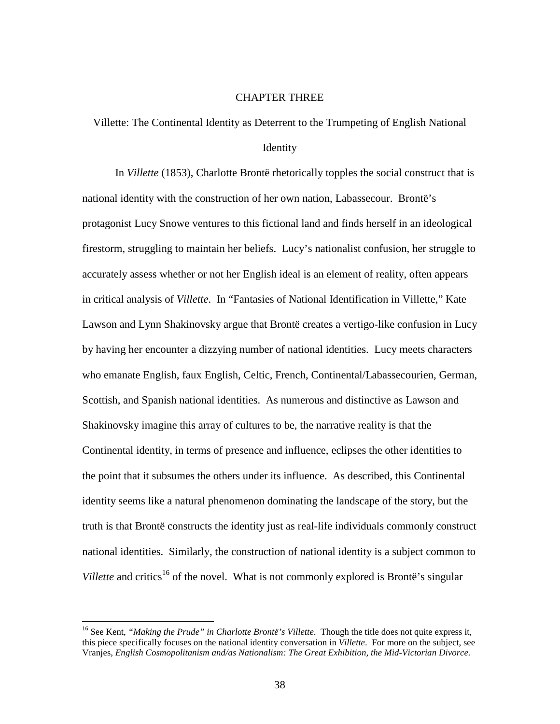## CHAPTER THREE

Villette: The Continental Identity as Deterrent to the Trumpeting of English National

## Identity

 In *Villette* (1853), Charlotte Brontë rhetorically topples the social construct that is national identity with the construction of her own nation, Labassecour. Brontë's protagonist Lucy Snowe ventures to this fictional land and finds herself in an ideological firestorm, struggling to maintain her beliefs. Lucy's nationalist confusion, her struggle to accurately assess whether or not her English ideal is an element of reality, often appears in critical analysis of *Villette*. In "Fantasies of National Identification in Villette," Kate Lawson and Lynn Shakinovsky argue that Brontë creates a vertigo-like confusion in Lucy by having her encounter a dizzying number of national identities. Lucy meets characters who emanate English, faux English, Celtic, French, Continental/Labassecourien, German, Scottish, and Spanish national identities. As numerous and distinctive as Lawson and Shakinovsky imagine this array of cultures to be, the narrative reality is that the Continental identity, in terms of presence and influence, eclipses the other identities to the point that it subsumes the others under its influence. As described, this Continental identity seems like a natural phenomenon dominating the landscape of the story, but the truth is that Brontë constructs the identity just as real-life individuals commonly construct national identities. Similarly, the construction of national identity is a subject common to *Villette* and critics<sup>16</sup> of the novel. What is not commonly explored is Brontë's singular

<u>.</u>

<sup>&</sup>lt;sup>16</sup> See Kent, "Making the Prude" in Charlotte Brontë's Villette. Though the title does not quite express it, this piece specifically focuses on the national identity conversation in *Villette*. For more on the subject, see Vranjes, *English Cosmopolitanism and/as Nationalism: The Great Exhibition, the Mid-Victorian Divorce.*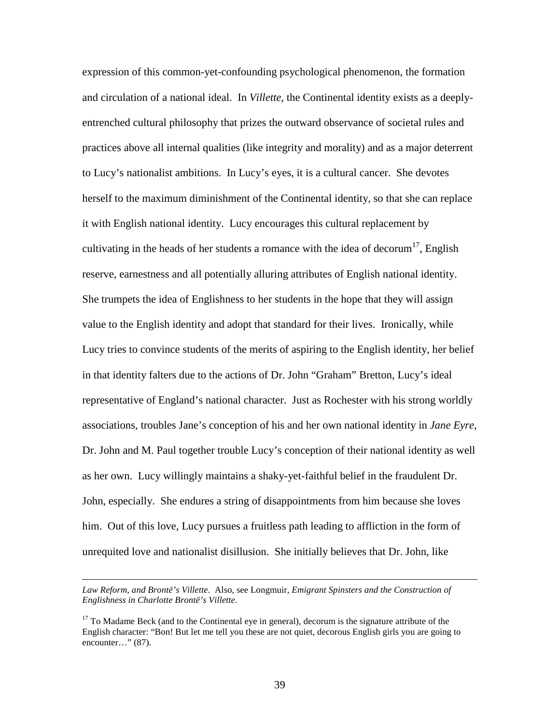expression of this common-yet-confounding psychological phenomenon, the formation and circulation of a national ideal. In *Villette,* the Continental identity exists as a deeplyentrenched cultural philosophy that prizes the outward observance of societal rules and practices above all internal qualities (like integrity and morality) and as a major deterrent to Lucy's nationalist ambitions. In Lucy's eyes, it is a cultural cancer. She devotes herself to the maximum diminishment of the Continental identity, so that she can replace it with English national identity. Lucy encourages this cultural replacement by cultivating in the heads of her students a romance with the idea of decorum<sup>17</sup>, English reserve, earnestness and all potentially alluring attributes of English national identity. She trumpets the idea of Englishness to her students in the hope that they will assign value to the English identity and adopt that standard for their lives. Ironically, while Lucy tries to convince students of the merits of aspiring to the English identity, her belief in that identity falters due to the actions of Dr. John "Graham" Bretton, Lucy's ideal representative of England's national character. Just as Rochester with his strong worldly associations, troubles Jane's conception of his and her own national identity in *Jane Eyre*, Dr. John and M. Paul together trouble Lucy's conception of their national identity as well as her own. Lucy willingly maintains a shaky-yet-faithful belief in the fraudulent Dr. John, especially. She endures a string of disappointments from him because she loves him. Out of this love, Lucy pursues a fruitless path leading to affliction in the form of unrequited love and nationalist disillusion. She initially believes that Dr. John, like

<u>.</u>

*Law Reform, and Brontë's Villette*. Also, see Longmuir, *Emigrant Spinsters and the Construction of Englishness in Charlotte Brontë's Villette*.

 $17$  To Madame Beck (and to the Continental eye in general), decorum is the signature attribute of the English character: "Bon! But let me tell you these are not quiet, decorous English girls you are going to encounter…" (87).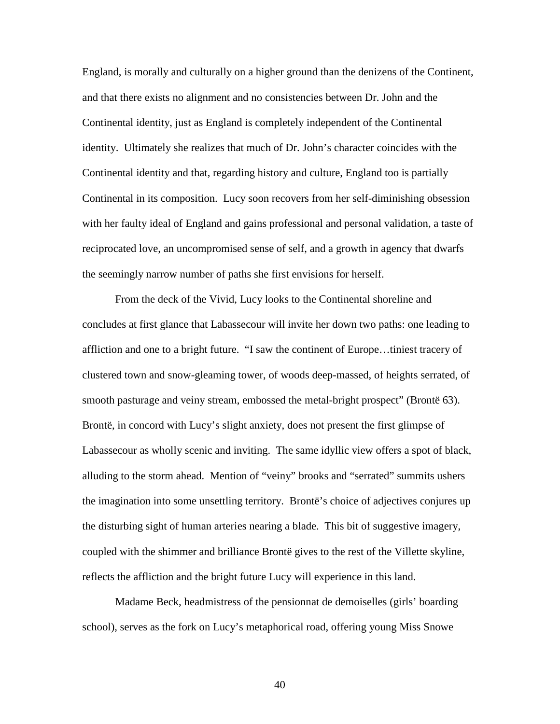England, is morally and culturally on a higher ground than the denizens of the Continent, and that there exists no alignment and no consistencies between Dr. John and the Continental identity, just as England is completely independent of the Continental identity. Ultimately she realizes that much of Dr. John's character coincides with the Continental identity and that, regarding history and culture, England too is partially Continental in its composition. Lucy soon recovers from her self-diminishing obsession with her faulty ideal of England and gains professional and personal validation, a taste of reciprocated love, an uncompromised sense of self, and a growth in agency that dwarfs the seemingly narrow number of paths she first envisions for herself.

 From the deck of the Vivid, Lucy looks to the Continental shoreline and concludes at first glance that Labassecour will invite her down two paths: one leading to affliction and one to a bright future. "I saw the continent of Europe…tiniest tracery of clustered town and snow-gleaming tower, of woods deep-massed, of heights serrated, of smooth pasturage and veiny stream, embossed the metal-bright prospect" (Brontë 63). Brontë, in concord with Lucy's slight anxiety, does not present the first glimpse of Labassecour as wholly scenic and inviting. The same idyllic view offers a spot of black, alluding to the storm ahead. Mention of "veiny" brooks and "serrated" summits ushers the imagination into some unsettling territory. Brontë's choice of adjectives conjures up the disturbing sight of human arteries nearing a blade. This bit of suggestive imagery, coupled with the shimmer and brilliance Brontë gives to the rest of the Villette skyline, reflects the affliction and the bright future Lucy will experience in this land.

 Madame Beck, headmistress of the pensionnat de demoiselles (girls' boarding school), serves as the fork on Lucy's metaphorical road, offering young Miss Snowe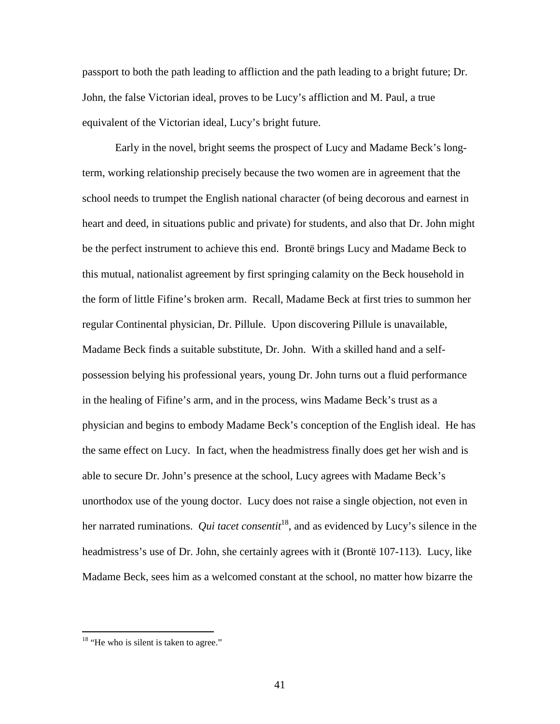passport to both the path leading to affliction and the path leading to a bright future; Dr. John, the false Victorian ideal, proves to be Lucy's affliction and M. Paul, a true equivalent of the Victorian ideal, Lucy's bright future.

 Early in the novel, bright seems the prospect of Lucy and Madame Beck's longterm, working relationship precisely because the two women are in agreement that the school needs to trumpet the English national character (of being decorous and earnest in heart and deed, in situations public and private) for students, and also that Dr. John might be the perfect instrument to achieve this end. Brontë brings Lucy and Madame Beck to this mutual, nationalist agreement by first springing calamity on the Beck household in the form of little Fifine's broken arm. Recall, Madame Beck at first tries to summon her regular Continental physician, Dr. Pillule. Upon discovering Pillule is unavailable, Madame Beck finds a suitable substitute, Dr. John. With a skilled hand and a selfpossession belying his professional years, young Dr. John turns out a fluid performance in the healing of Fifine's arm, and in the process, wins Madame Beck's trust as a physician and begins to embody Madame Beck's conception of the English ideal. He has the same effect on Lucy. In fact, when the headmistress finally does get her wish and is able to secure Dr. John's presence at the school, Lucy agrees with Madame Beck's unorthodox use of the young doctor. Lucy does not raise a single objection, not even in her narrated ruminations. *Qui tacet consentit*<sup>18</sup>, and as evidenced by Lucy's silence in the headmistress's use of Dr. John, she certainly agrees with it (Brontë 107-113). Lucy, like Madame Beck, sees him as a welcomed constant at the school, no matter how bizarre the

<u>.</u>

 $18$  "He who is silent is taken to agree."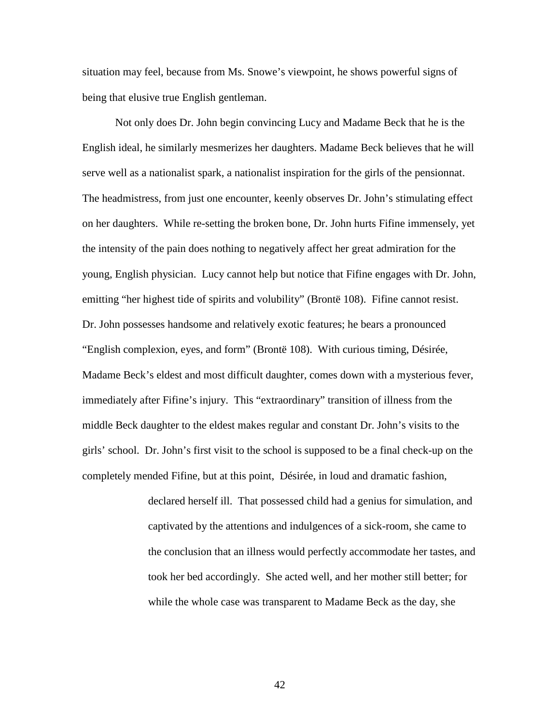situation may feel, because from Ms. Snowe's viewpoint, he shows powerful signs of being that elusive true English gentleman.

 Not only does Dr. John begin convincing Lucy and Madame Beck that he is the English ideal, he similarly mesmerizes her daughters. Madame Beck believes that he will serve well as a nationalist spark, a nationalist inspiration for the girls of the pensionnat. The headmistress, from just one encounter, keenly observes Dr. John's stimulating effect on her daughters. While re-setting the broken bone, Dr. John hurts Fifine immensely, yet the intensity of the pain does nothing to negatively affect her great admiration for the young, English physician. Lucy cannot help but notice that Fifine engages with Dr. John, emitting "her highest tide of spirits and volubility" (Brontë 108). Fifine cannot resist. Dr. John possesses handsome and relatively exotic features; he bears a pronounced "English complexion, eyes, and form" (Brontë 108). With curious timing, Désirée, Madame Beck's eldest and most difficult daughter, comes down with a mysterious fever, immediately after Fifine's injury. This "extraordinary" transition of illness from the middle Beck daughter to the eldest makes regular and constant Dr. John's visits to the girls' school. Dr. John's first visit to the school is supposed to be a final check-up on the completely mended Fifine, but at this point, Désirée, in loud and dramatic fashion,

> declared herself ill. That possessed child had a genius for simulation, and captivated by the attentions and indulgences of a sick-room, she came to the conclusion that an illness would perfectly accommodate her tastes, and took her bed accordingly. She acted well, and her mother still better; for while the whole case was transparent to Madame Beck as the day, she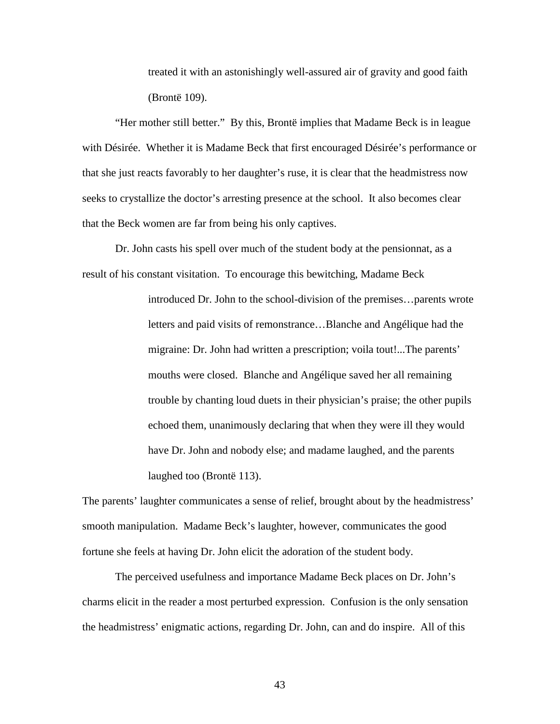treated it with an astonishingly well-assured air of gravity and good faith (Brontë 109).

 "Her mother still better." By this, Brontë implies that Madame Beck is in league with Désirée. Whether it is Madame Beck that first encouraged Désirée's performance or that she just reacts favorably to her daughter's ruse, it is clear that the headmistress now seeks to crystallize the doctor's arresting presence at the school. It also becomes clear that the Beck women are far from being his only captives.

 Dr. John casts his spell over much of the student body at the pensionnat, as a result of his constant visitation. To encourage this bewitching, Madame Beck

> introduced Dr. John to the school-division of the premises…parents wrote letters and paid visits of remonstrance…Blanche and Angélique had the migraine: Dr. John had written a prescription; voila tout!...The parents' mouths were closed. Blanche and Angélique saved her all remaining trouble by chanting loud duets in their physician's praise; the other pupils echoed them, unanimously declaring that when they were ill they would have Dr. John and nobody else; and madame laughed, and the parents laughed too (Brontë 113).

The parents' laughter communicates a sense of relief, brought about by the headmistress' smooth manipulation. Madame Beck's laughter, however, communicates the good fortune she feels at having Dr. John elicit the adoration of the student body.

The perceived usefulness and importance Madame Beck places on Dr. John's charms elicit in the reader a most perturbed expression. Confusion is the only sensation the headmistress' enigmatic actions, regarding Dr. John, can and do inspire. All of this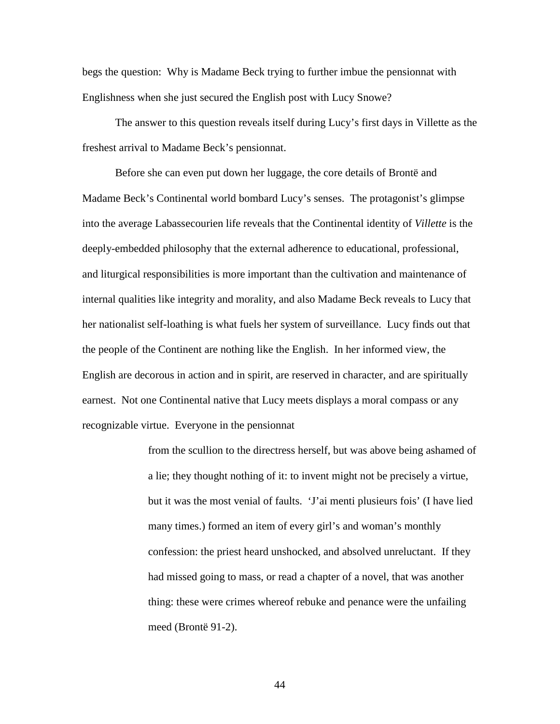begs the question: Why is Madame Beck trying to further imbue the pensionnat with Englishness when she just secured the English post with Lucy Snowe?

The answer to this question reveals itself during Lucy's first days in Villette as the freshest arrival to Madame Beck's pensionnat.

Before she can even put down her luggage, the core details of Brontë and Madame Beck's Continental world bombard Lucy's senses. The protagonist's glimpse into the average Labassecourien life reveals that the Continental identity of *Villette* is the deeply-embedded philosophy that the external adherence to educational, professional, and liturgical responsibilities is more important than the cultivation and maintenance of internal qualities like integrity and morality, and also Madame Beck reveals to Lucy that her nationalist self-loathing is what fuels her system of surveillance. Lucy finds out that the people of the Continent are nothing like the English. In her informed view, the English are decorous in action and in spirit, are reserved in character, and are spiritually earnest. Not one Continental native that Lucy meets displays a moral compass or any recognizable virtue. Everyone in the pensionnat

> from the scullion to the directress herself, but was above being ashamed of a lie; they thought nothing of it: to invent might not be precisely a virtue, but it was the most venial of faults. 'J'ai menti plusieurs fois' (I have lied many times.) formed an item of every girl's and woman's monthly confession: the priest heard unshocked, and absolved unreluctant. If they had missed going to mass, or read a chapter of a novel, that was another thing: these were crimes whereof rebuke and penance were the unfailing meed (Brontë 91-2).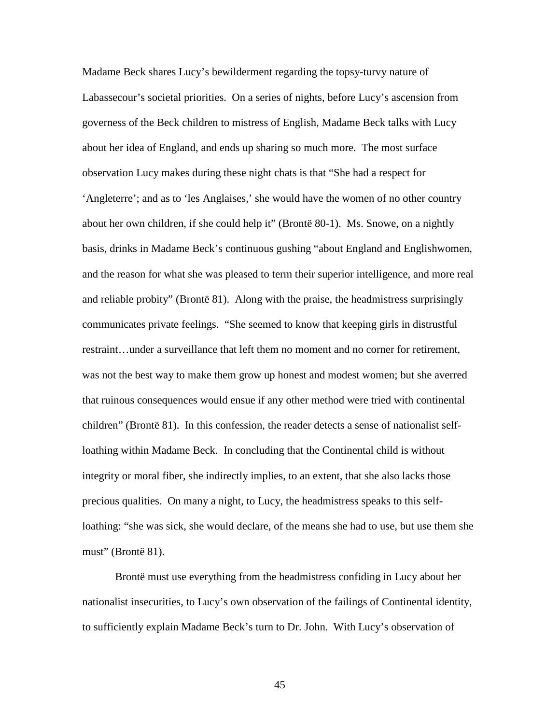Madame Beck shares Lucy's bewilderment regarding the topsy-turvy nature of Labassecour's societal priorities. On a series of nights, before Lucy's ascension from governess of the Beck children to mistress of English, Madame Beck talks with Lucy about her idea of England, and ends up sharing so much more. The most surface observation Lucy makes during these night chats is that "She had a respect for 'Angleterre'; and as to 'les Anglaises,' she would have the women of no other country about her own children, if she could help it" (Brontë 80-1). Ms. Snowe, on a nightly basis, drinks in Madame Beck's continuous gushing "about England and Englishwomen, and the reason for what she was pleased to term their superior intelligence, and more real and reliable probity" (Brontë 81). Along with the praise, the headmistress surprisingly communicates private feelings. "She seemed to know that keeping girls in distrustful restraint…under a surveillance that left them no moment and no corner for retirement, was not the best way to make them grow up honest and modest women; but she averred that ruinous consequences would ensue if any other method were tried with continental children" (Brontë 81). In this confession, the reader detects a sense of nationalist selfloathing within Madame Beck. In concluding that the Continental child is without integrity or moral fiber, she indirectly implies, to an extent, that she also lacks those precious qualities. On many a night, to Lucy, the headmistress speaks to this selfloathing: "she was sick, she would declare, of the means she had to use, but use them she must" (Brontë 81).

Brontë must use everything from the headmistress confiding in Lucy about her nationalist insecurities, to Lucy's own observation of the failings of Continental identity, to sufficiently explain Madame Beck's turn to Dr. John. With Lucy's observation of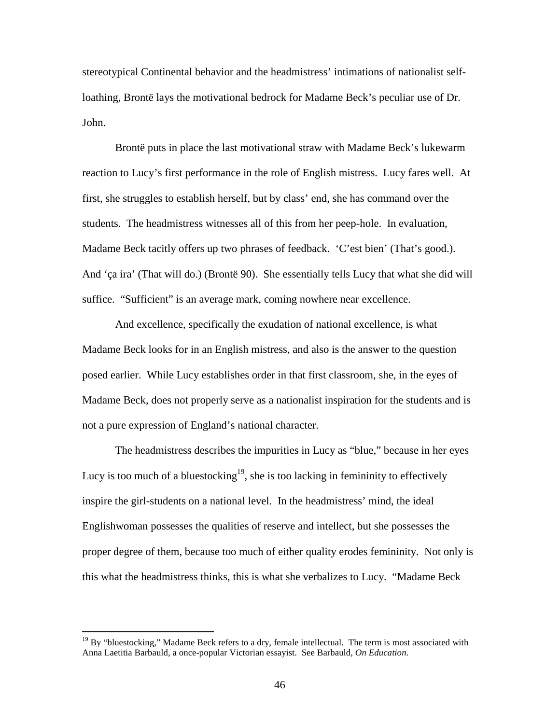stereotypical Continental behavior and the headmistress' intimations of nationalist selfloathing, Brontë lays the motivational bedrock for Madame Beck's peculiar use of Dr. John.

Brontë puts in place the last motivational straw with Madame Beck's lukewarm reaction to Lucy's first performance in the role of English mistress. Lucy fares well. At first, she struggles to establish herself, but by class' end, she has command over the students. The headmistress witnesses all of this from her peep-hole. In evaluation, Madame Beck tacitly offers up two phrases of feedback. 'C'est bien' (That's good.). And 'ça ira' (That will do.) (Brontë 90). She essentially tells Lucy that what she did will suffice. "Sufficient" is an average mark, coming nowhere near excellence.

And excellence, specifically the exudation of national excellence, is what Madame Beck looks for in an English mistress, and also is the answer to the question posed earlier. While Lucy establishes order in that first classroom, she, in the eyes of Madame Beck, does not properly serve as a nationalist inspiration for the students and is not a pure expression of England's national character.

The headmistress describes the impurities in Lucy as "blue," because in her eyes Lucy is too much of a bluestocking<sup>19</sup>, she is too lacking in femininity to effectively inspire the girl-students on a national level. In the headmistress' mind, the ideal Englishwoman possesses the qualities of reserve and intellect, but she possesses the proper degree of them, because too much of either quality erodes femininity. Not only is this what the headmistress thinks, this is what she verbalizes to Lucy. "Madame Beck

 $\overline{a}$ 

 $19$  By "bluestocking," Madame Beck refers to a dry, female intellectual. The term is most associated with Anna Laetitia Barbauld, a once-popular Victorian essayist. See Barbauld, *On Education*.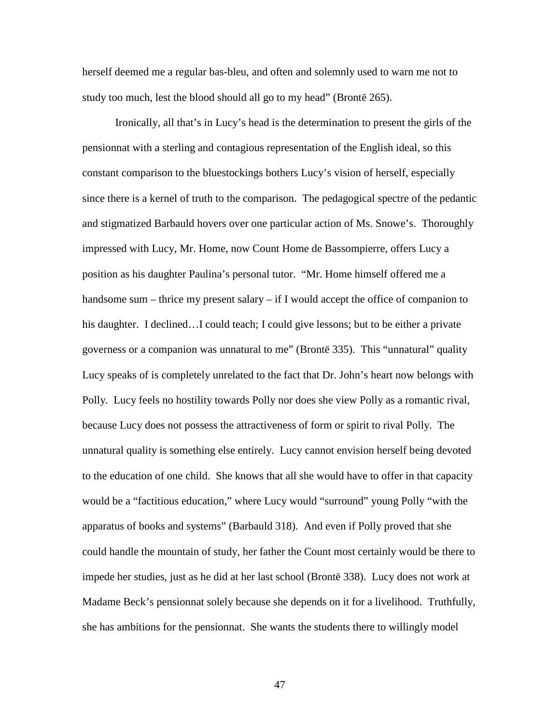herself deemed me a regular bas-bleu, and often and solemnly used to warn me not to study too much, lest the blood should all go to my head" (Brontë 265).

Ironically, all that's in Lucy's head is the determination to present the girls of the pensionnat with a sterling and contagious representation of the English ideal, so this constant comparison to the bluestockings bothers Lucy's vision of herself, especially since there is a kernel of truth to the comparison. The pedagogical spectre of the pedantic and stigmatized Barbauld hovers over one particular action of Ms. Snowe's. Thoroughly impressed with Lucy, Mr. Home, now Count Home de Bassompierre, offers Lucy a position as his daughter Paulina's personal tutor. "Mr. Home himself offered me a handsome sum – thrice my present salary – if I would accept the office of companion to his daughter. I declined...I could teach; I could give lessons; but to be either a private governess or a companion was unnatural to me" (Brontë 335). This "unnatural" quality Lucy speaks of is completely unrelated to the fact that Dr. John's heart now belongs with Polly. Lucy feels no hostility towards Polly nor does she view Polly as a romantic rival, because Lucy does not possess the attractiveness of form or spirit to rival Polly. The unnatural quality is something else entirely. Lucy cannot envision herself being devoted to the education of one child. She knows that all she would have to offer in that capacity would be a "factitious education," where Lucy would "surround" young Polly "with the apparatus of books and systems" (Barbauld 318). And even if Polly proved that she could handle the mountain of study, her father the Count most certainly would be there to impede her studies, just as he did at her last school (Brontë 338). Lucy does not work at Madame Beck's pensionnat solely because she depends on it for a livelihood. Truthfully, she has ambitions for the pensionnat. She wants the students there to willingly model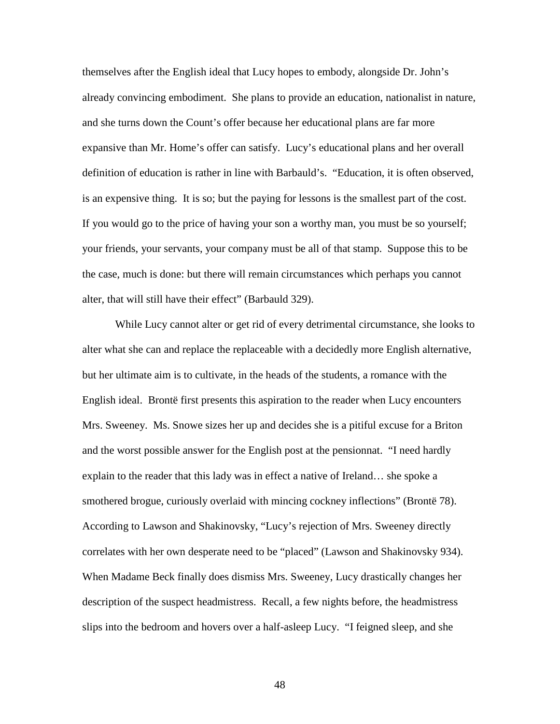themselves after the English ideal that Lucy hopes to embody, alongside Dr. John's already convincing embodiment. She plans to provide an education, nationalist in nature, and she turns down the Count's offer because her educational plans are far more expansive than Mr. Home's offer can satisfy. Lucy's educational plans and her overall definition of education is rather in line with Barbauld's. "Education, it is often observed, is an expensive thing. It is so; but the paying for lessons is the smallest part of the cost. If you would go to the price of having your son a worthy man, you must be so yourself; your friends, your servants, your company must be all of that stamp. Suppose this to be the case, much is done: but there will remain circumstances which perhaps you cannot alter, that will still have their effect" (Barbauld 329).

While Lucy cannot alter or get rid of every detrimental circumstance, she looks to alter what she can and replace the replaceable with a decidedly more English alternative, but her ultimate aim is to cultivate, in the heads of the students, a romance with the English ideal. Brontë first presents this aspiration to the reader when Lucy encounters Mrs. Sweeney. Ms. Snowe sizes her up and decides she is a pitiful excuse for a Briton and the worst possible answer for the English post at the pensionnat. "I need hardly explain to the reader that this lady was in effect a native of Ireland… she spoke a smothered brogue, curiously overlaid with mincing cockney inflections" (Brontë 78). According to Lawson and Shakinovsky, "Lucy's rejection of Mrs. Sweeney directly correlates with her own desperate need to be "placed" (Lawson and Shakinovsky 934). When Madame Beck finally does dismiss Mrs. Sweeney, Lucy drastically changes her description of the suspect headmistress. Recall, a few nights before, the headmistress slips into the bedroom and hovers over a half-asleep Lucy. "I feigned sleep, and she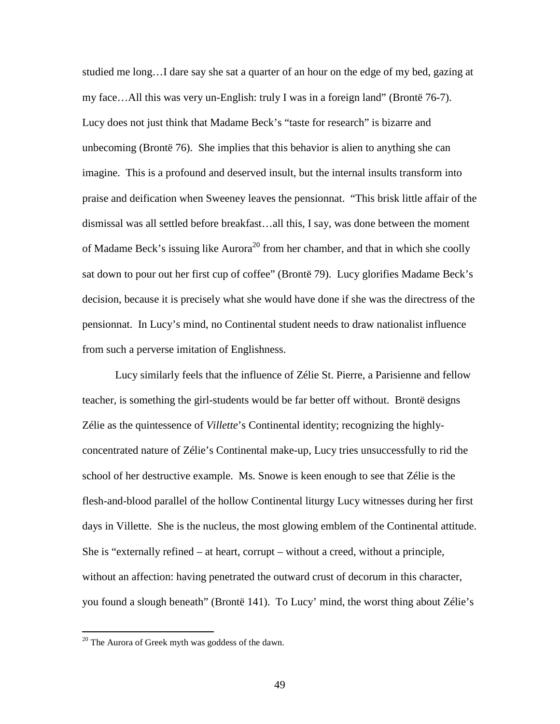studied me long…I dare say she sat a quarter of an hour on the edge of my bed, gazing at my face…All this was very un-English: truly I was in a foreign land" (Brontë 76-7). Lucy does not just think that Madame Beck's "taste for research" is bizarre and unbecoming (Brontë 76). She implies that this behavior is alien to anything she can imagine. This is a profound and deserved insult, but the internal insults transform into praise and deification when Sweeney leaves the pensionnat. "This brisk little affair of the dismissal was all settled before breakfast…all this, I say, was done between the moment of Madame Beck's issuing like  $Auroa^{20}$  from her chamber, and that in which she coolly sat down to pour out her first cup of coffee" (Brontë 79). Lucy glorifies Madame Beck's decision, because it is precisely what she would have done if she was the directress of the pensionnat. In Lucy's mind, no Continental student needs to draw nationalist influence from such a perverse imitation of Englishness.

Lucy similarly feels that the influence of Zélie St. Pierre, a Parisienne and fellow teacher, is something the girl-students would be far better off without. Brontë designs Zélie as the quintessence of *Villette*'s Continental identity; recognizing the highlyconcentrated nature of Zélie's Continental make-up, Lucy tries unsuccessfully to rid the school of her destructive example. Ms. Snowe is keen enough to see that Zélie is the flesh-and-blood parallel of the hollow Continental liturgy Lucy witnesses during her first days in Villette. She is the nucleus, the most glowing emblem of the Continental attitude. She is "externally refined – at heart, corrupt – without a creed, without a principle, without an affection: having penetrated the outward crust of decorum in this character, you found a slough beneath" (Brontë 141). To Lucy' mind, the worst thing about Zélie's

 $\overline{a}$ 

 $20$  The Aurora of Greek myth was goddess of the dawn.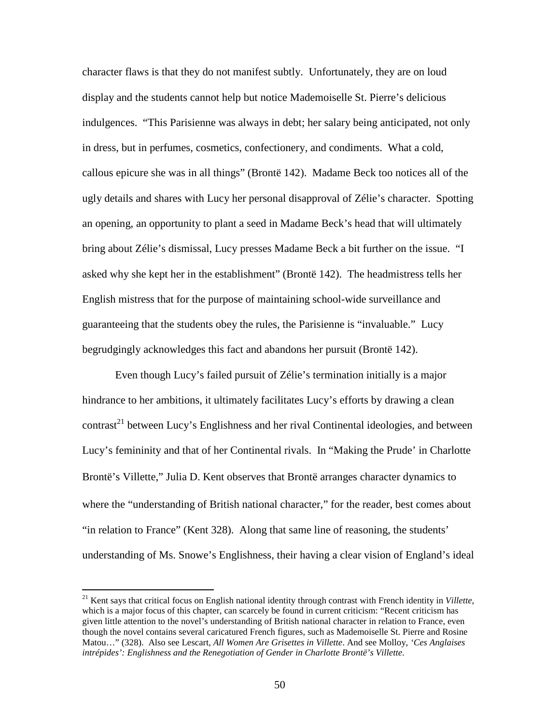character flaws is that they do not manifest subtly. Unfortunately, they are on loud display and the students cannot help but notice Mademoiselle St. Pierre's delicious indulgences. "This Parisienne was always in debt; her salary being anticipated, not only in dress, but in perfumes, cosmetics, confectionery, and condiments. What a cold, callous epicure she was in all things" (Brontë 142). Madame Beck too notices all of the ugly details and shares with Lucy her personal disapproval of Zélie's character. Spotting an opening, an opportunity to plant a seed in Madame Beck's head that will ultimately bring about Zélie's dismissal, Lucy presses Madame Beck a bit further on the issue. "I asked why she kept her in the establishment" (Brontë 142). The headmistress tells her English mistress that for the purpose of maintaining school-wide surveillance and guaranteeing that the students obey the rules, the Parisienne is "invaluable." Lucy begrudgingly acknowledges this fact and abandons her pursuit (Brontë 142).

Even though Lucy's failed pursuit of Zélie's termination initially is a major hindrance to her ambitions, it ultimately facilitates Lucy's efforts by drawing a clean  $contrast<sup>21</sup>$  between Lucy's Englishness and her rival Continental ideologies, and between Lucy's femininity and that of her Continental rivals. In "Making the Prude' in Charlotte Brontë's Villette," Julia D. Kent observes that Brontë arranges character dynamics to where the "understanding of British national character," for the reader, best comes about "in relation to France" (Kent 328). Along that same line of reasoning, the students' understanding of Ms. Snowe's Englishness, their having a clear vision of England's ideal

 $\overline{a}$ 

<sup>21</sup> Kent says that critical focus on English national identity through contrast with French identity in *Villette*, which is a major focus of this chapter, can scarcely be found in current criticism: "Recent criticism has given little attention to the novel's understanding of British national character in relation to France, even though the novel contains several caricatured French figures, such as Mademoiselle St. Pierre and Rosine Matou…" (328). Also see Lescart, *All Women Are Grisettes in Villette*. And see Molloy, *'Ces Anglaises intrépides': Englishness and the Renegotiation of Gender in Charlotte Brontë's Villette*.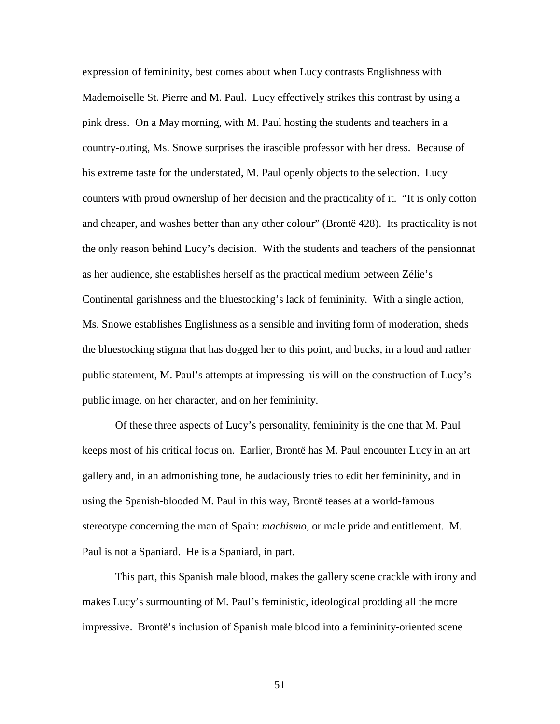expression of femininity, best comes about when Lucy contrasts Englishness with Mademoiselle St. Pierre and M. Paul. Lucy effectively strikes this contrast by using a pink dress. On a May morning, with M. Paul hosting the students and teachers in a country-outing, Ms. Snowe surprises the irascible professor with her dress. Because of his extreme taste for the understated, M. Paul openly objects to the selection. Lucy counters with proud ownership of her decision and the practicality of it. "It is only cotton and cheaper, and washes better than any other colour" (Brontë 428). Its practicality is not the only reason behind Lucy's decision. With the students and teachers of the pensionnat as her audience, she establishes herself as the practical medium between Zélie's Continental garishness and the bluestocking's lack of femininity. With a single action, Ms. Snowe establishes Englishness as a sensible and inviting form of moderation, sheds the bluestocking stigma that has dogged her to this point, and bucks, in a loud and rather public statement, M. Paul's attempts at impressing his will on the construction of Lucy's public image, on her character, and on her femininity.

Of these three aspects of Lucy's personality, femininity is the one that M. Paul keeps most of his critical focus on. Earlier, Brontë has M. Paul encounter Lucy in an art gallery and, in an admonishing tone, he audaciously tries to edit her femininity, and in using the Spanish-blooded M. Paul in this way, Brontë teases at a world-famous stereotype concerning the man of Spain: *machismo*, or male pride and entitlement. M. Paul is not a Spaniard. He is a Spaniard, in part.

This part, this Spanish male blood, makes the gallery scene crackle with irony and makes Lucy's surmounting of M. Paul's feministic, ideological prodding all the more impressive. Brontë's inclusion of Spanish male blood into a femininity-oriented scene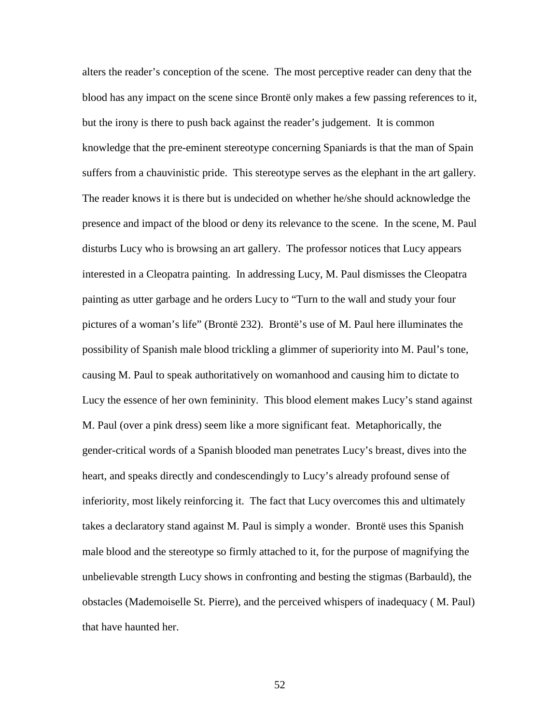alters the reader's conception of the scene. The most perceptive reader can deny that the blood has any impact on the scene since Brontë only makes a few passing references to it, but the irony is there to push back against the reader's judgement. It is common knowledge that the pre-eminent stereotype concerning Spaniards is that the man of Spain suffers from a chauvinistic pride. This stereotype serves as the elephant in the art gallery. The reader knows it is there but is undecided on whether he/she should acknowledge the presence and impact of the blood or deny its relevance to the scene. In the scene, M. Paul disturbs Lucy who is browsing an art gallery. The professor notices that Lucy appears interested in a Cleopatra painting. In addressing Lucy, M. Paul dismisses the Cleopatra painting as utter garbage and he orders Lucy to "Turn to the wall and study your four pictures of a woman's life" (Brontë 232). Brontë's use of M. Paul here illuminates the possibility of Spanish male blood trickling a glimmer of superiority into M. Paul's tone, causing M. Paul to speak authoritatively on womanhood and causing him to dictate to Lucy the essence of her own femininity. This blood element makes Lucy's stand against M. Paul (over a pink dress) seem like a more significant feat. Metaphorically, the gender-critical words of a Spanish blooded man penetrates Lucy's breast, dives into the heart, and speaks directly and condescendingly to Lucy's already profound sense of inferiority, most likely reinforcing it. The fact that Lucy overcomes this and ultimately takes a declaratory stand against M. Paul is simply a wonder. Brontë uses this Spanish male blood and the stereotype so firmly attached to it, for the purpose of magnifying the unbelievable strength Lucy shows in confronting and besting the stigmas (Barbauld), the obstacles (Mademoiselle St. Pierre), and the perceived whispers of inadequacy ( M. Paul) that have haunted her.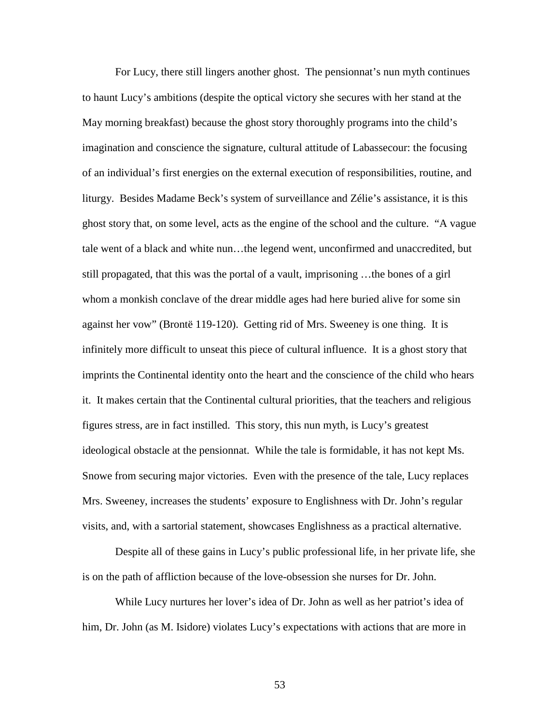For Lucy, there still lingers another ghost. The pensionnat's nun myth continues to haunt Lucy's ambitions (despite the optical victory she secures with her stand at the May morning breakfast) because the ghost story thoroughly programs into the child's imagination and conscience the signature, cultural attitude of Labassecour: the focusing of an individual's first energies on the external execution of responsibilities, routine, and liturgy. Besides Madame Beck's system of surveillance and Zélie's assistance, it is this ghost story that, on some level, acts as the engine of the school and the culture. "A vague tale went of a black and white nun…the legend went, unconfirmed and unaccredited, but still propagated, that this was the portal of a vault, imprisoning …the bones of a girl whom a monkish conclave of the drear middle ages had here buried alive for some sin against her vow" (Brontë 119-120). Getting rid of Mrs. Sweeney is one thing. It is infinitely more difficult to unseat this piece of cultural influence. It is a ghost story that imprints the Continental identity onto the heart and the conscience of the child who hears it. It makes certain that the Continental cultural priorities, that the teachers and religious figures stress, are in fact instilled. This story, this nun myth, is Lucy's greatest ideological obstacle at the pensionnat. While the tale is formidable, it has not kept Ms. Snowe from securing major victories. Even with the presence of the tale, Lucy replaces Mrs. Sweeney, increases the students' exposure to Englishness with Dr. John's regular visits, and, with a sartorial statement, showcases Englishness as a practical alternative.

Despite all of these gains in Lucy's public professional life, in her private life, she is on the path of affliction because of the love-obsession she nurses for Dr. John.

While Lucy nurtures her lover's idea of Dr. John as well as her patriot's idea of him, Dr. John (as M. Isidore) violates Lucy's expectations with actions that are more in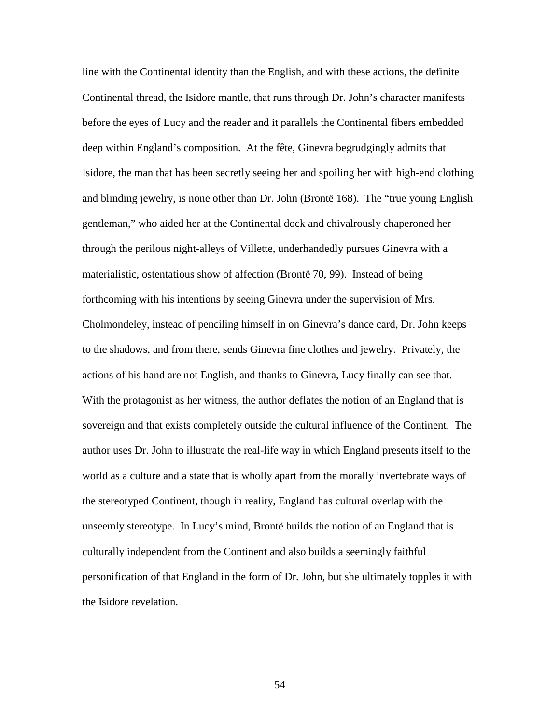line with the Continental identity than the English, and with these actions, the definite Continental thread, the Isidore mantle, that runs through Dr. John's character manifests before the eyes of Lucy and the reader and it parallels the Continental fibers embedded deep within England's composition. At the fête, Ginevra begrudgingly admits that Isidore, the man that has been secretly seeing her and spoiling her with high-end clothing and blinding jewelry, is none other than Dr. John (Brontë 168). The "true young English gentleman," who aided her at the Continental dock and chivalrously chaperoned her through the perilous night-alleys of Villette, underhandedly pursues Ginevra with a materialistic, ostentatious show of affection (Brontë 70, 99). Instead of being forthcoming with his intentions by seeing Ginevra under the supervision of Mrs. Cholmondeley, instead of penciling himself in on Ginevra's dance card, Dr. John keeps to the shadows, and from there, sends Ginevra fine clothes and jewelry. Privately, the actions of his hand are not English, and thanks to Ginevra, Lucy finally can see that. With the protagonist as her witness, the author deflates the notion of an England that is sovereign and that exists completely outside the cultural influence of the Continent. The author uses Dr. John to illustrate the real-life way in which England presents itself to the world as a culture and a state that is wholly apart from the morally invertebrate ways of the stereotyped Continent, though in reality, England has cultural overlap with the unseemly stereotype. In Lucy's mind, Brontë builds the notion of an England that is culturally independent from the Continent and also builds a seemingly faithful personification of that England in the form of Dr. John, but she ultimately topples it with the Isidore revelation.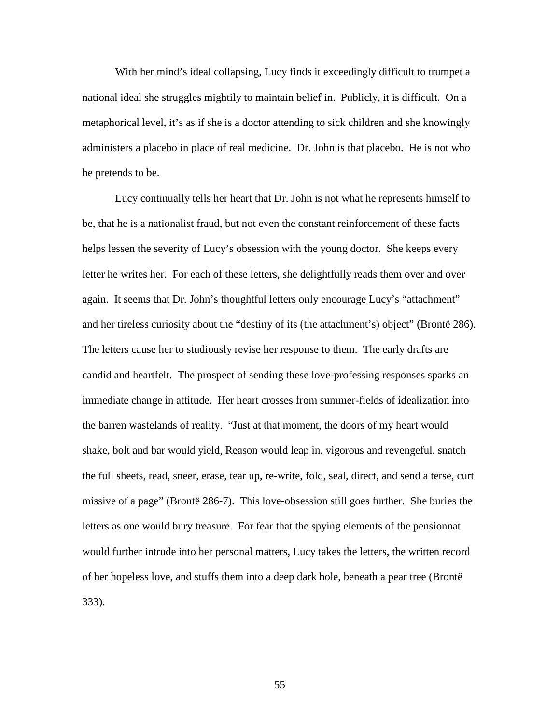With her mind's ideal collapsing, Lucy finds it exceedingly difficult to trumpet a national ideal she struggles mightily to maintain belief in. Publicly, it is difficult. On a metaphorical level, it's as if she is a doctor attending to sick children and she knowingly administers a placebo in place of real medicine. Dr. John is that placebo. He is not who he pretends to be.

Lucy continually tells her heart that Dr. John is not what he represents himself to be, that he is a nationalist fraud, but not even the constant reinforcement of these facts helps lessen the severity of Lucy's obsession with the young doctor. She keeps every letter he writes her. For each of these letters, she delightfully reads them over and over again. It seems that Dr. John's thoughtful letters only encourage Lucy's "attachment" and her tireless curiosity about the "destiny of its (the attachment's) object" (Brontë 286). The letters cause her to studiously revise her response to them. The early drafts are candid and heartfelt. The prospect of sending these love-professing responses sparks an immediate change in attitude. Her heart crosses from summer-fields of idealization into the barren wastelands of reality. "Just at that moment, the doors of my heart would shake, bolt and bar would yield, Reason would leap in, vigorous and revengeful, snatch the full sheets, read, sneer, erase, tear up, re-write, fold, seal, direct, and send a terse, curt missive of a page" (Brontë 286-7). This love-obsession still goes further. She buries the letters as one would bury treasure. For fear that the spying elements of the pensionnat would further intrude into her personal matters, Lucy takes the letters, the written record of her hopeless love, and stuffs them into a deep dark hole, beneath a pear tree (Brontë 333).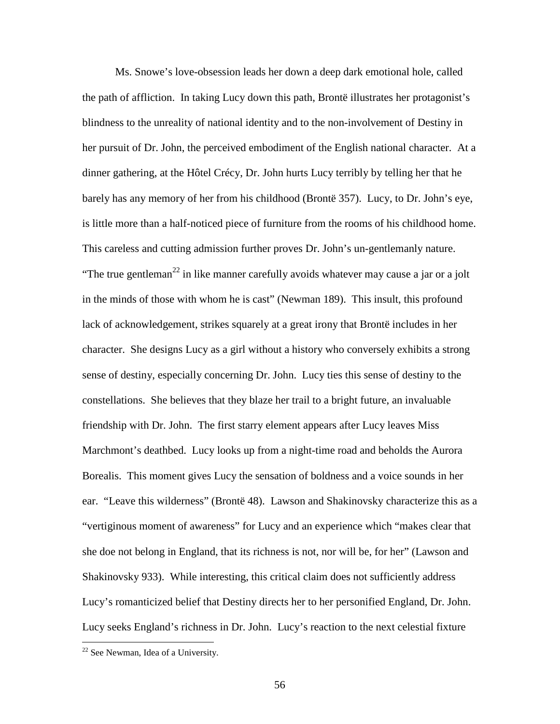Ms. Snowe's love-obsession leads her down a deep dark emotional hole, called the path of affliction. In taking Lucy down this path, Brontë illustrates her protagonist's blindness to the unreality of national identity and to the non-involvement of Destiny in her pursuit of Dr. John, the perceived embodiment of the English national character. At a dinner gathering, at the Hôtel Crécy, Dr. John hurts Lucy terribly by telling her that he barely has any memory of her from his childhood (Brontë 357). Lucy, to Dr. John's eye, is little more than a half-noticed piece of furniture from the rooms of his childhood home. This careless and cutting admission further proves Dr. John's un-gentlemanly nature. "The true gentleman<sup>22</sup> in like manner carefully avoids whatever may cause a jar or a jolt in the minds of those with whom he is cast" (Newman 189). This insult, this profound lack of acknowledgement, strikes squarely at a great irony that Brontë includes in her character. She designs Lucy as a girl without a history who conversely exhibits a strong sense of destiny, especially concerning Dr. John. Lucy ties this sense of destiny to the constellations. She believes that they blaze her trail to a bright future, an invaluable friendship with Dr. John. The first starry element appears after Lucy leaves Miss Marchmont's deathbed. Lucy looks up from a night-time road and beholds the Aurora Borealis. This moment gives Lucy the sensation of boldness and a voice sounds in her ear. "Leave this wilderness" (Brontë 48). Lawson and Shakinovsky characterize this as a "vertiginous moment of awareness" for Lucy and an experience which "makes clear that she doe not belong in England, that its richness is not, nor will be, for her" (Lawson and Shakinovsky 933). While interesting, this critical claim does not sufficiently address Lucy's romanticized belief that Destiny directs her to her personified England, Dr. John. Lucy seeks England's richness in Dr. John. Lucy's reaction to the next celestial fixture

<u>.</u>

<sup>&</sup>lt;sup>22</sup> See Newman, Idea of a University.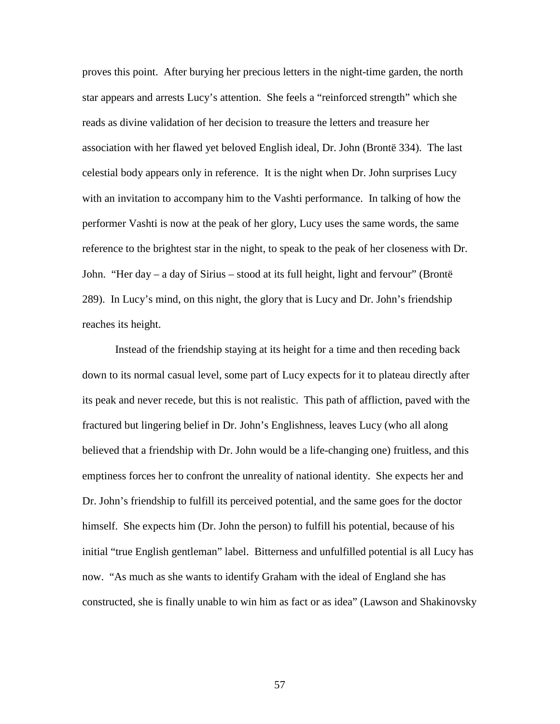proves this point. After burying her precious letters in the night-time garden, the north star appears and arrests Lucy's attention. She feels a "reinforced strength" which she reads as divine validation of her decision to treasure the letters and treasure her association with her flawed yet beloved English ideal, Dr. John (Brontë 334). The last celestial body appears only in reference. It is the night when Dr. John surprises Lucy with an invitation to accompany him to the Vashti performance. In talking of how the performer Vashti is now at the peak of her glory, Lucy uses the same words, the same reference to the brightest star in the night, to speak to the peak of her closeness with Dr. John. "Her day – a day of Sirius – stood at its full height, light and fervour" (Brontë 289). In Lucy's mind, on this night, the glory that is Lucy and Dr. John's friendship reaches its height.

Instead of the friendship staying at its height for a time and then receding back down to its normal casual level, some part of Lucy expects for it to plateau directly after its peak and never recede, but this is not realistic. This path of affliction, paved with the fractured but lingering belief in Dr. John's Englishness, leaves Lucy (who all along believed that a friendship with Dr. John would be a life-changing one) fruitless, and this emptiness forces her to confront the unreality of national identity. She expects her and Dr. John's friendship to fulfill its perceived potential, and the same goes for the doctor himself. She expects him (Dr. John the person) to fulfill his potential, because of his initial "true English gentleman" label. Bitterness and unfulfilled potential is all Lucy has now. "As much as she wants to identify Graham with the ideal of England she has constructed, she is finally unable to win him as fact or as idea" (Lawson and Shakinovsky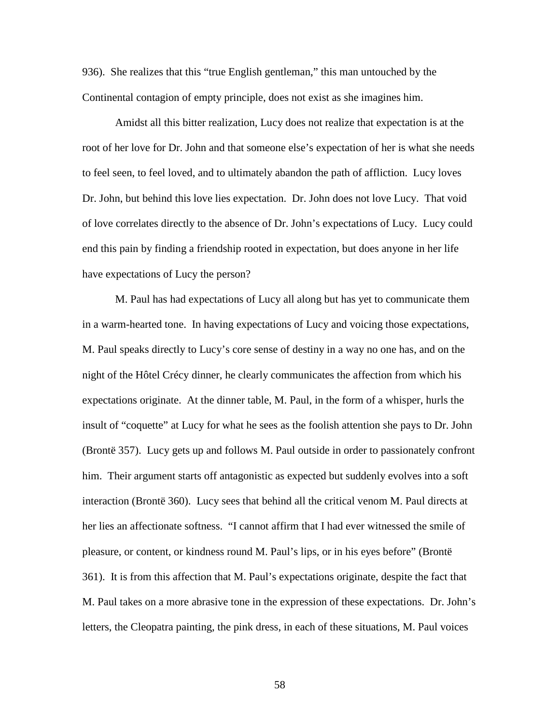936). She realizes that this "true English gentleman," this man untouched by the Continental contagion of empty principle, does not exist as she imagines him.

Amidst all this bitter realization, Lucy does not realize that expectation is at the root of her love for Dr. John and that someone else's expectation of her is what she needs to feel seen, to feel loved, and to ultimately abandon the path of affliction. Lucy loves Dr. John, but behind this love lies expectation. Dr. John does not love Lucy. That void of love correlates directly to the absence of Dr. John's expectations of Lucy. Lucy could end this pain by finding a friendship rooted in expectation, but does anyone in her life have expectations of Lucy the person?

M. Paul has had expectations of Lucy all along but has yet to communicate them in a warm-hearted tone. In having expectations of Lucy and voicing those expectations, M. Paul speaks directly to Lucy's core sense of destiny in a way no one has, and on the night of the Hôtel Crécy dinner, he clearly communicates the affection from which his expectations originate. At the dinner table, M. Paul, in the form of a whisper, hurls the insult of "coquette" at Lucy for what he sees as the foolish attention she pays to Dr. John (Brontë 357). Lucy gets up and follows M. Paul outside in order to passionately confront him. Their argument starts off antagonistic as expected but suddenly evolves into a soft interaction (Brontë 360). Lucy sees that behind all the critical venom M. Paul directs at her lies an affectionate softness. "I cannot affirm that I had ever witnessed the smile of pleasure, or content, or kindness round M. Paul's lips, or in his eyes before" (Brontë 361). It is from this affection that M. Paul's expectations originate, despite the fact that M. Paul takes on a more abrasive tone in the expression of these expectations. Dr. John's letters, the Cleopatra painting, the pink dress, in each of these situations, M. Paul voices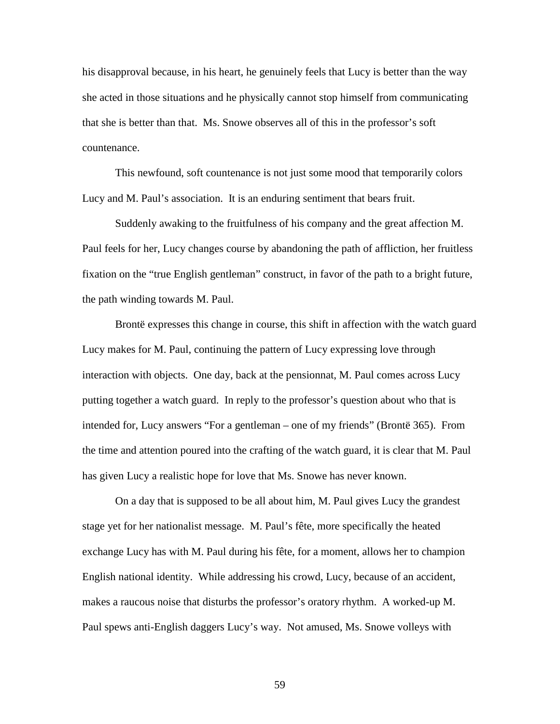his disapproval because, in his heart, he genuinely feels that Lucy is better than the way she acted in those situations and he physically cannot stop himself from communicating that she is better than that. Ms. Snowe observes all of this in the professor's soft countenance.

This newfound, soft countenance is not just some mood that temporarily colors Lucy and M. Paul's association. It is an enduring sentiment that bears fruit.

Suddenly awaking to the fruitfulness of his company and the great affection M. Paul feels for her, Lucy changes course by abandoning the path of affliction, her fruitless fixation on the "true English gentleman" construct, in favor of the path to a bright future, the path winding towards M. Paul.

Brontë expresses this change in course, this shift in affection with the watch guard Lucy makes for M. Paul, continuing the pattern of Lucy expressing love through interaction with objects. One day, back at the pensionnat, M. Paul comes across Lucy putting together a watch guard. In reply to the professor's question about who that is intended for, Lucy answers "For a gentleman – one of my friends" (Brontë 365). From the time and attention poured into the crafting of the watch guard, it is clear that M. Paul has given Lucy a realistic hope for love that Ms. Snowe has never known.

On a day that is supposed to be all about him, M. Paul gives Lucy the grandest stage yet for her nationalist message. M. Paul's fête, more specifically the heated exchange Lucy has with M. Paul during his fête, for a moment, allows her to champion English national identity. While addressing his crowd, Lucy, because of an accident, makes a raucous noise that disturbs the professor's oratory rhythm. A worked-up M. Paul spews anti-English daggers Lucy's way. Not amused, Ms. Snowe volleys with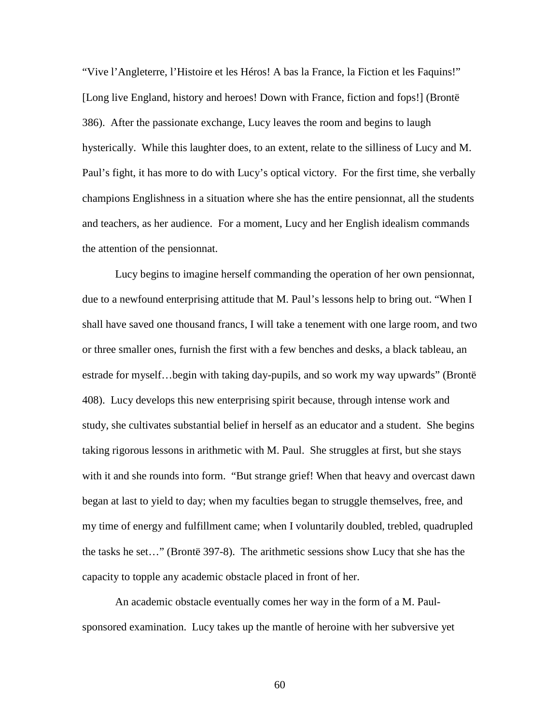"Vive l'Angleterre, l'Histoire et les Héros! A bas la France, la Fiction et les Faquins!" [Long live England, history and heroes! Down with France, fiction and fops!] (Brontë 386). After the passionate exchange, Lucy leaves the room and begins to laugh hysterically. While this laughter does, to an extent, relate to the silliness of Lucy and M. Paul's fight, it has more to do with Lucy's optical victory. For the first time, she verbally champions Englishness in a situation where she has the entire pensionnat, all the students and teachers, as her audience. For a moment, Lucy and her English idealism commands the attention of the pensionnat.

Lucy begins to imagine herself commanding the operation of her own pensionnat, due to a newfound enterprising attitude that M. Paul's lessons help to bring out. "When I shall have saved one thousand francs, I will take a tenement with one large room, and two or three smaller ones, furnish the first with a few benches and desks, a black tableau, an estrade for myself…begin with taking day-pupils, and so work my way upwards" (Brontë 408). Lucy develops this new enterprising spirit because, through intense work and study, she cultivates substantial belief in herself as an educator and a student. She begins taking rigorous lessons in arithmetic with M. Paul. She struggles at first, but she stays with it and she rounds into form. "But strange grief! When that heavy and overcast dawn began at last to yield to day; when my faculties began to struggle themselves, free, and my time of energy and fulfillment came; when I voluntarily doubled, trebled, quadrupled the tasks he set…" (Brontë 397-8). The arithmetic sessions show Lucy that she has the capacity to topple any academic obstacle placed in front of her.

An academic obstacle eventually comes her way in the form of a M. Paulsponsored examination. Lucy takes up the mantle of heroine with her subversive yet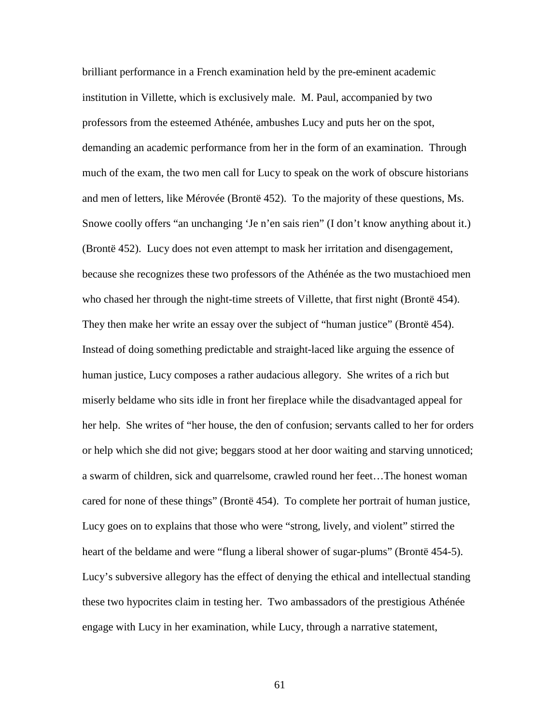brilliant performance in a French examination held by the pre-eminent academic institution in Villette, which is exclusively male. M. Paul, accompanied by two professors from the esteemed Athénée, ambushes Lucy and puts her on the spot, demanding an academic performance from her in the form of an examination. Through much of the exam, the two men call for Lucy to speak on the work of obscure historians and men of letters, like Mérovée (Brontë 452). To the majority of these questions, Ms. Snowe coolly offers "an unchanging 'Je n'en sais rien" (I don't know anything about it.) (Brontë 452). Lucy does not even attempt to mask her irritation and disengagement, because she recognizes these two professors of the Athénée as the two mustachioed men who chased her through the night-time streets of Villette, that first night (Brontë 454). They then make her write an essay over the subject of "human justice" (Brontë 454). Instead of doing something predictable and straight-laced like arguing the essence of human justice, Lucy composes a rather audacious allegory. She writes of a rich but miserly beldame who sits idle in front her fireplace while the disadvantaged appeal for her help. She writes of "her house, the den of confusion; servants called to her for orders or help which she did not give; beggars stood at her door waiting and starving unnoticed; a swarm of children, sick and quarrelsome, crawled round her feet…The honest woman cared for none of these things" (Brontë 454). To complete her portrait of human justice, Lucy goes on to explains that those who were "strong, lively, and violent" stirred the heart of the beldame and were "flung a liberal shower of sugar-plums" (Brontë 454-5). Lucy's subversive allegory has the effect of denying the ethical and intellectual standing these two hypocrites claim in testing her. Two ambassadors of the prestigious Athénée engage with Lucy in her examination, while Lucy, through a narrative statement,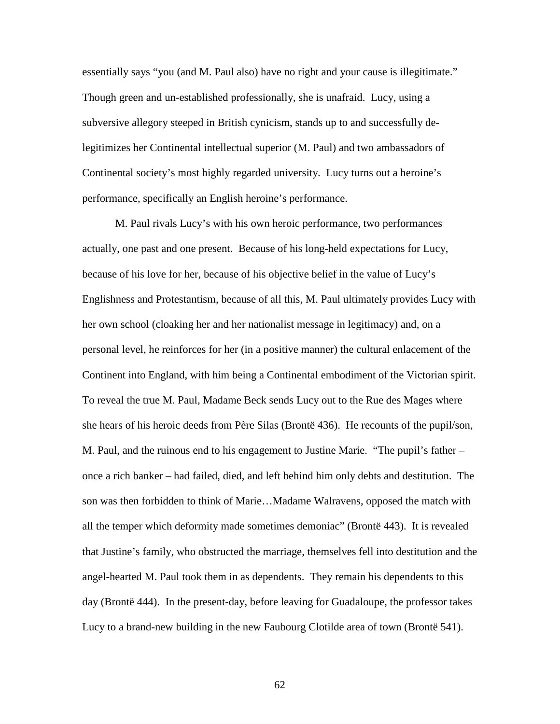essentially says "you (and M. Paul also) have no right and your cause is illegitimate." Though green and un-established professionally, she is unafraid. Lucy, using a subversive allegory steeped in British cynicism, stands up to and successfully delegitimizes her Continental intellectual superior (M. Paul) and two ambassadors of Continental society's most highly regarded university. Lucy turns out a heroine's performance, specifically an English heroine's performance.

M. Paul rivals Lucy's with his own heroic performance, two performances actually, one past and one present. Because of his long-held expectations for Lucy, because of his love for her, because of his objective belief in the value of Lucy's Englishness and Protestantism, because of all this, M. Paul ultimately provides Lucy with her own school (cloaking her and her nationalist message in legitimacy) and, on a personal level, he reinforces for her (in a positive manner) the cultural enlacement of the Continent into England, with him being a Continental embodiment of the Victorian spirit. To reveal the true M. Paul, Madame Beck sends Lucy out to the Rue des Mages where she hears of his heroic deeds from Père Silas (Brontë 436). He recounts of the pupil/son, M. Paul, and the ruinous end to his engagement to Justine Marie. "The pupil's father – once a rich banker – had failed, died, and left behind him only debts and destitution. The son was then forbidden to think of Marie…Madame Walravens, opposed the match with all the temper which deformity made sometimes demoniac" (Brontë 443). It is revealed that Justine's family, who obstructed the marriage, themselves fell into destitution and the angel-hearted M. Paul took them in as dependents. They remain his dependents to this day (Brontë 444). In the present-day, before leaving for Guadaloupe, the professor takes Lucy to a brand-new building in the new Faubourg Clotilde area of town (Brontë 541).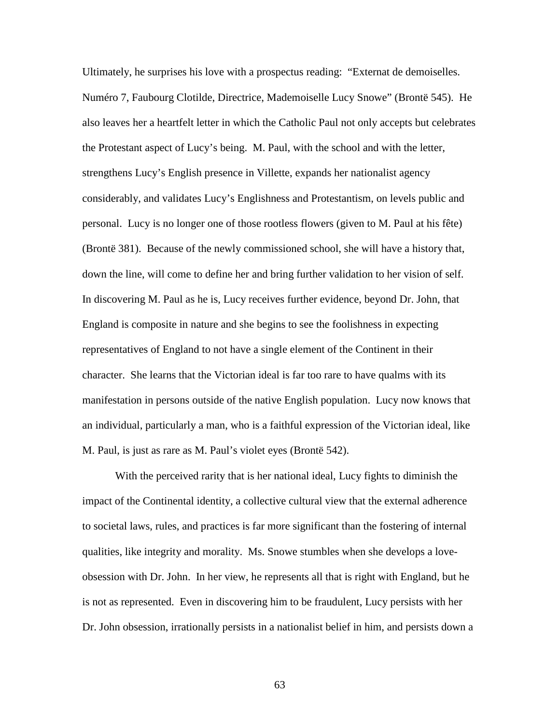Ultimately, he surprises his love with a prospectus reading: "Externat de demoiselles. Numéro 7, Faubourg Clotilde, Directrice, Mademoiselle Lucy Snowe" (Brontë 545). He also leaves her a heartfelt letter in which the Catholic Paul not only accepts but celebrates the Protestant aspect of Lucy's being. M. Paul, with the school and with the letter, strengthens Lucy's English presence in Villette, expands her nationalist agency considerably, and validates Lucy's Englishness and Protestantism, on levels public and personal. Lucy is no longer one of those rootless flowers (given to M. Paul at his fête) (Brontë 381). Because of the newly commissioned school, she will have a history that, down the line, will come to define her and bring further validation to her vision of self. In discovering M. Paul as he is, Lucy receives further evidence, beyond Dr. John, that England is composite in nature and she begins to see the foolishness in expecting representatives of England to not have a single element of the Continent in their character. She learns that the Victorian ideal is far too rare to have qualms with its manifestation in persons outside of the native English population. Lucy now knows that an individual, particularly a man, who is a faithful expression of the Victorian ideal, like M. Paul, is just as rare as M. Paul's violet eyes (Brontë 542).

With the perceived rarity that is her national ideal, Lucy fights to diminish the impact of the Continental identity, a collective cultural view that the external adherence to societal laws, rules, and practices is far more significant than the fostering of internal qualities, like integrity and morality. Ms. Snowe stumbles when she develops a loveobsession with Dr. John. In her view, he represents all that is right with England, but he is not as represented. Even in discovering him to be fraudulent, Lucy persists with her Dr. John obsession, irrationally persists in a nationalist belief in him, and persists down a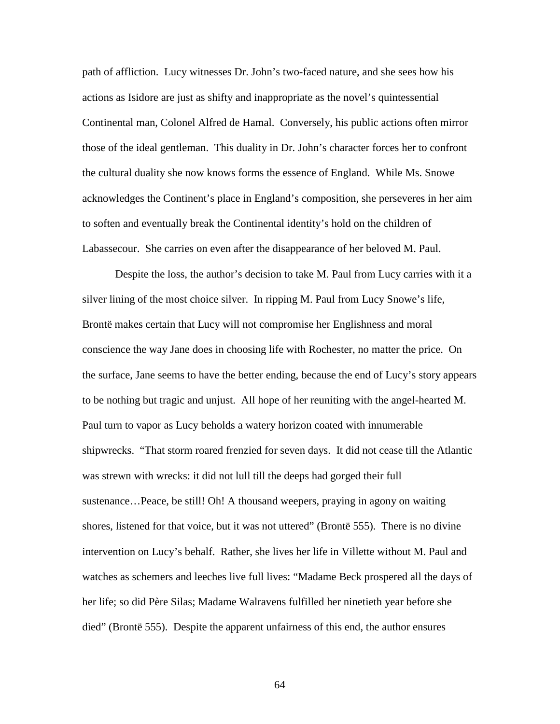path of affliction. Lucy witnesses Dr. John's two-faced nature, and she sees how his actions as Isidore are just as shifty and inappropriate as the novel's quintessential Continental man, Colonel Alfred de Hamal. Conversely, his public actions often mirror those of the ideal gentleman. This duality in Dr. John's character forces her to confront the cultural duality she now knows forms the essence of England. While Ms. Snowe acknowledges the Continent's place in England's composition, she perseveres in her aim to soften and eventually break the Continental identity's hold on the children of Labassecour. She carries on even after the disappearance of her beloved M. Paul.

Despite the loss, the author's decision to take M. Paul from Lucy carries with it a silver lining of the most choice silver. In ripping M. Paul from Lucy Snowe's life, Brontë makes certain that Lucy will not compromise her Englishness and moral conscience the way Jane does in choosing life with Rochester, no matter the price. On the surface, Jane seems to have the better ending, because the end of Lucy's story appears to be nothing but tragic and unjust. All hope of her reuniting with the angel-hearted M. Paul turn to vapor as Lucy beholds a watery horizon coated with innumerable shipwrecks. "That storm roared frenzied for seven days. It did not cease till the Atlantic was strewn with wrecks: it did not lull till the deeps had gorged their full sustenance…Peace, be still! Oh! A thousand weepers, praying in agony on waiting shores, listened for that voice, but it was not uttered" (Brontë 555). There is no divine intervention on Lucy's behalf. Rather, she lives her life in Villette without M. Paul and watches as schemers and leeches live full lives: "Madame Beck prospered all the days of her life; so did Père Silas; Madame Walravens fulfilled her ninetieth year before she died" (Brontë 555). Despite the apparent unfairness of this end, the author ensures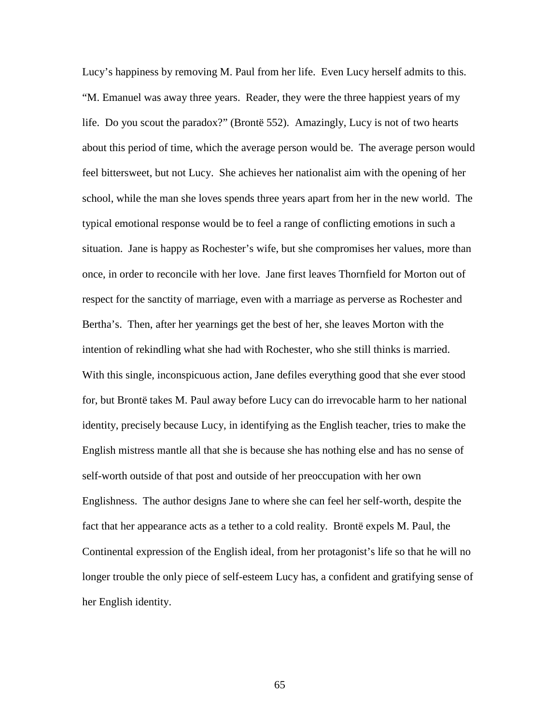Lucy's happiness by removing M. Paul from her life. Even Lucy herself admits to this. "M. Emanuel was away three years. Reader, they were the three happiest years of my life. Do you scout the paradox?" (Brontë 552). Amazingly, Lucy is not of two hearts about this period of time, which the average person would be. The average person would feel bittersweet, but not Lucy. She achieves her nationalist aim with the opening of her school, while the man she loves spends three years apart from her in the new world. The typical emotional response would be to feel a range of conflicting emotions in such a situation. Jane is happy as Rochester's wife, but she compromises her values, more than once, in order to reconcile with her love. Jane first leaves Thornfield for Morton out of respect for the sanctity of marriage, even with a marriage as perverse as Rochester and Bertha's. Then, after her yearnings get the best of her, she leaves Morton with the intention of rekindling what she had with Rochester, who she still thinks is married. With this single, inconspicuous action, Jane defiles everything good that she ever stood for, but Brontë takes M. Paul away before Lucy can do irrevocable harm to her national identity, precisely because Lucy, in identifying as the English teacher, tries to make the English mistress mantle all that she is because she has nothing else and has no sense of self-worth outside of that post and outside of her preoccupation with her own Englishness. The author designs Jane to where she can feel her self-worth, despite the fact that her appearance acts as a tether to a cold reality. Brontë expels M. Paul, the Continental expression of the English ideal, from her protagonist's life so that he will no longer trouble the only piece of self-esteem Lucy has, a confident and gratifying sense of her English identity.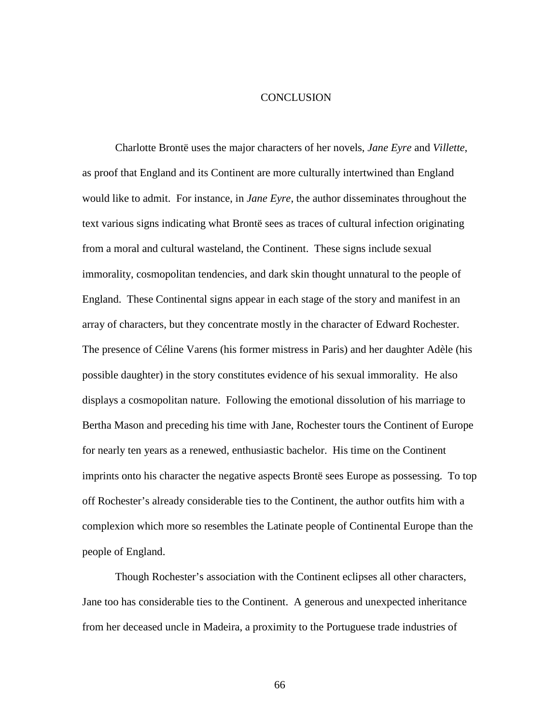## **CONCLUSION**

 Charlotte Brontë uses the major characters of her novels, *Jane Eyre* and *Villette*, as proof that England and its Continent are more culturally intertwined than England would like to admit. For instance, in *Jane Eyre*, the author disseminates throughout the text various signs indicating what Brontë sees as traces of cultural infection originating from a moral and cultural wasteland, the Continent. These signs include sexual immorality, cosmopolitan tendencies, and dark skin thought unnatural to the people of England. These Continental signs appear in each stage of the story and manifest in an array of characters, but they concentrate mostly in the character of Edward Rochester. The presence of Céline Varens (his former mistress in Paris) and her daughter Adèle (his possible daughter) in the story constitutes evidence of his sexual immorality. He also displays a cosmopolitan nature. Following the emotional dissolution of his marriage to Bertha Mason and preceding his time with Jane, Rochester tours the Continent of Europe for nearly ten years as a renewed, enthusiastic bachelor. His time on the Continent imprints onto his character the negative aspects Brontë sees Europe as possessing. To top off Rochester's already considerable ties to the Continent, the author outfits him with a complexion which more so resembles the Latinate people of Continental Europe than the people of England.

 Though Rochester's association with the Continent eclipses all other characters, Jane too has considerable ties to the Continent. A generous and unexpected inheritance from her deceased uncle in Madeira, a proximity to the Portuguese trade industries of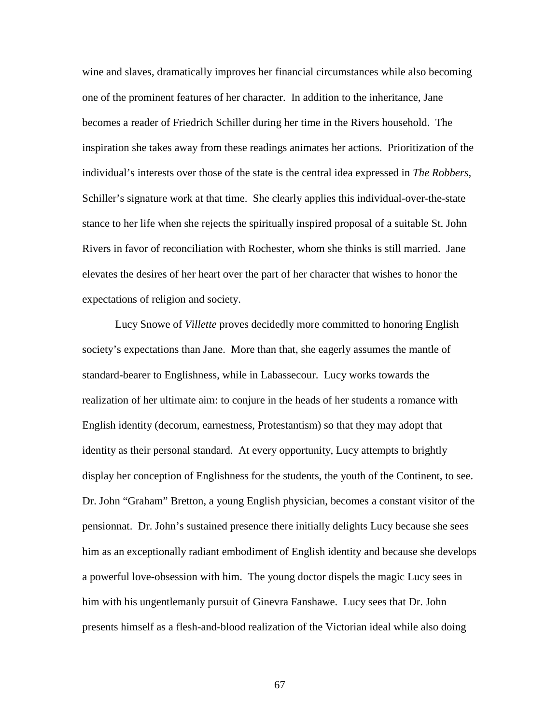wine and slaves, dramatically improves her financial circumstances while also becoming one of the prominent features of her character. In addition to the inheritance, Jane becomes a reader of Friedrich Schiller during her time in the Rivers household. The inspiration she takes away from these readings animates her actions. Prioritization of the individual's interests over those of the state is the central idea expressed in *The Robbers*, Schiller's signature work at that time. She clearly applies this individual-over-the-state stance to her life when she rejects the spiritually inspired proposal of a suitable St. John Rivers in favor of reconciliation with Rochester, whom she thinks is still married. Jane elevates the desires of her heart over the part of her character that wishes to honor the expectations of religion and society.

 Lucy Snowe of *Villette* proves decidedly more committed to honoring English society's expectations than Jane. More than that, she eagerly assumes the mantle of standard-bearer to Englishness, while in Labassecour. Lucy works towards the realization of her ultimate aim: to conjure in the heads of her students a romance with English identity (decorum, earnestness, Protestantism) so that they may adopt that identity as their personal standard. At every opportunity, Lucy attempts to brightly display her conception of Englishness for the students, the youth of the Continent, to see. Dr. John "Graham" Bretton, a young English physician, becomes a constant visitor of the pensionnat. Dr. John's sustained presence there initially delights Lucy because she sees him as an exceptionally radiant embodiment of English identity and because she develops a powerful love-obsession with him. The young doctor dispels the magic Lucy sees in him with his ungentlemanly pursuit of Ginevra Fanshawe. Lucy sees that Dr. John presents himself as a flesh-and-blood realization of the Victorian ideal while also doing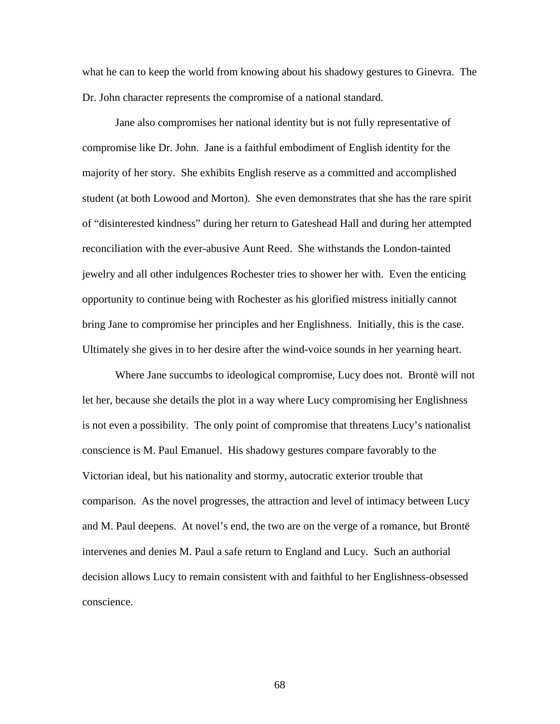what he can to keep the world from knowing about his shadowy gestures to Ginevra. The Dr. John character represents the compromise of a national standard.

 Jane also compromises her national identity but is not fully representative of compromise like Dr. John. Jane is a faithful embodiment of English identity for the majority of her story. She exhibits English reserve as a committed and accomplished student (at both Lowood and Morton). She even demonstrates that she has the rare spirit of "disinterested kindness" during her return to Gateshead Hall and during her attempted reconciliation with the ever-abusive Aunt Reed. She withstands the London-tainted jewelry and all other indulgences Rochester tries to shower her with. Even the enticing opportunity to continue being with Rochester as his glorified mistress initially cannot bring Jane to compromise her principles and her Englishness. Initially, this is the case. Ultimately she gives in to her desire after the wind-voice sounds in her yearning heart.

 Where Jane succumbs to ideological compromise, Lucy does not. Brontë will not let her, because she details the plot in a way where Lucy compromising her Englishness is not even a possibility. The only point of compromise that threatens Lucy's nationalist conscience is M. Paul Emanuel. His shadowy gestures compare favorably to the Victorian ideal, but his nationality and stormy, autocratic exterior trouble that comparison. As the novel progresses, the attraction and level of intimacy between Lucy and M. Paul deepens. At novel's end, the two are on the verge of a romance, but Brontë intervenes and denies M. Paul a safe return to England and Lucy. Such an authorial decision allows Lucy to remain consistent with and faithful to her Englishness-obsessed conscience.

68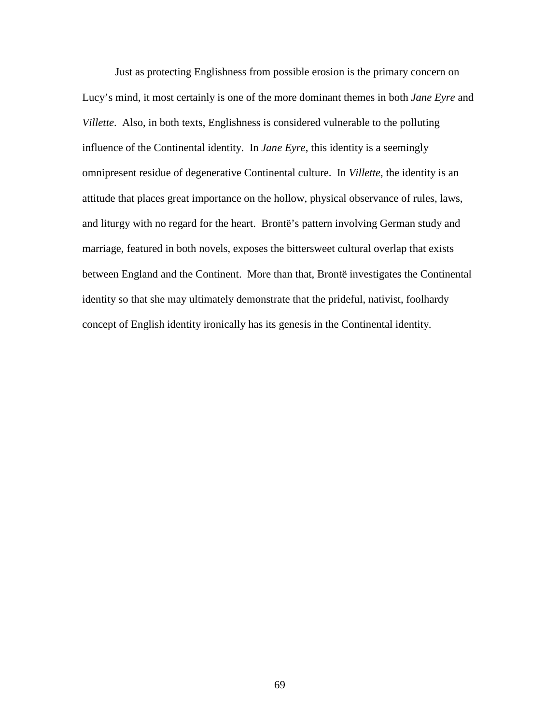Just as protecting Englishness from possible erosion is the primary concern on Lucy's mind, it most certainly is one of the more dominant themes in both *Jane Eyre* and *Villette*. Also, in both texts, Englishness is considered vulnerable to the polluting influence of the Continental identity. In *Jane Eyre*, this identity is a seemingly omnipresent residue of degenerative Continental culture. In *Villette*, the identity is an attitude that places great importance on the hollow, physical observance of rules, laws, and liturgy with no regard for the heart. Brontë's pattern involving German study and marriage, featured in both novels, exposes the bittersweet cultural overlap that exists between England and the Continent. More than that, Brontë investigates the Continental identity so that she may ultimately demonstrate that the prideful, nativist, foolhardy concept of English identity ironically has its genesis in the Continental identity.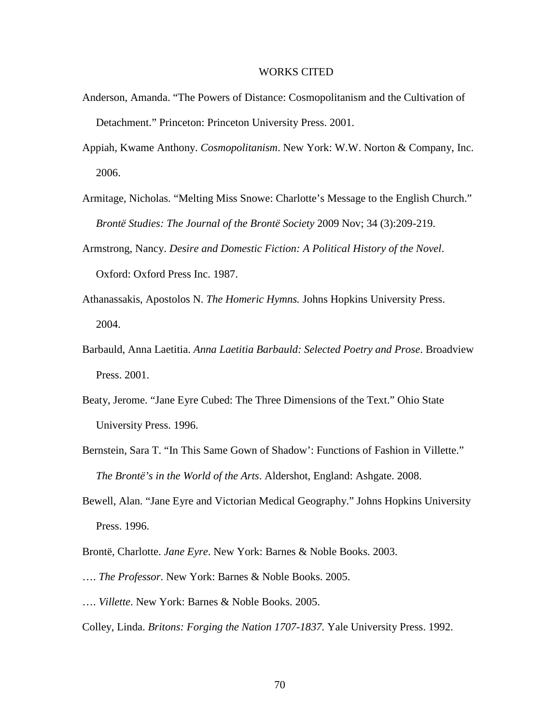## WORKS CITED

- Anderson, Amanda. "The Powers of Distance: Cosmopolitanism and the Cultivation of Detachment." Princeton: Princeton University Press. 2001.
- Appiah, Kwame Anthony. *Cosmopolitanism*. New York: W.W. Norton & Company, Inc. 2006.
- Armitage, Nicholas. "Melting Miss Snowe: Charlotte's Message to the English Church." *Brontë Studies: The Journal of the Brontë Society* 2009 Nov; 34 (3):209-219.
- Armstrong, Nancy. *Desire and Domestic Fiction: A Political History of the Novel*. Oxford: Oxford Press Inc. 1987.
- Athanassakis, Apostolos N. *The Homeric Hymns.* Johns Hopkins University Press. 2004.
- Barbauld, Anna Laetitia. *Anna Laetitia Barbauld: Selected Poetry and Prose*. Broadview Press. 2001.
- Beaty, Jerome. "Jane Eyre Cubed: The Three Dimensions of the Text." Ohio State University Press. 1996.
- Bernstein, Sara T. "In This Same Gown of Shadow': Functions of Fashion in Villette." *The Brontë's in the World of the Arts*. Aldershot, England: Ashgate. 2008.
- Bewell, Alan. "Jane Eyre and Victorian Medical Geography." Johns Hopkins University Press. 1996.
- Brontë, Charlotte. *Jane Eyre*. New York: Barnes & Noble Books. 2003.
- …. *The Professor*. New York: Barnes & Noble Books. 2005.
- …. *Villette*. New York: Barnes & Noble Books. 2005.
- Colley, Linda. *Britons: Forging the Nation 1707-1837.* Yale University Press. 1992.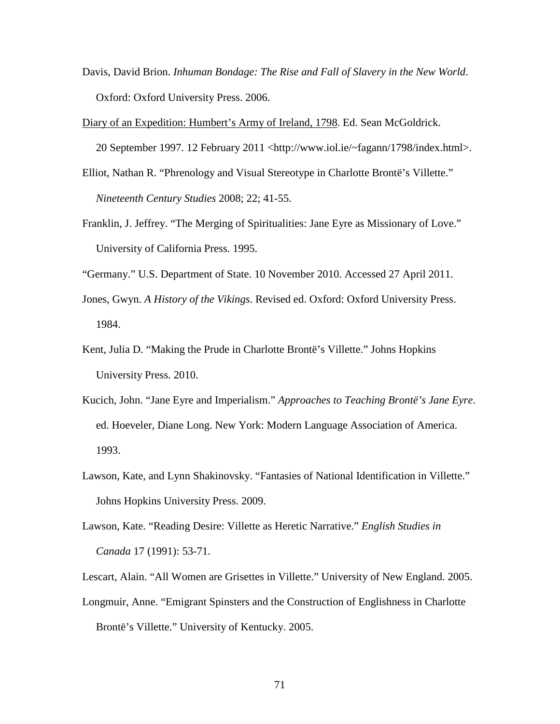Davis, David Brion. *Inhuman Bondage: The Rise and Fall of Slavery in the New World*. Oxford: Oxford University Press. 2006.

Diary of an Expedition: Humbert's Army of Ireland, 1798. Ed. Sean McGoldrick.

20 September 1997. 12 February 2011 <http://www.iol.ie/~fagann/1798/index.html>.

- Elliot, Nathan R. "Phrenology and Visual Stereotype in Charlotte Brontë's Villette." *Nineteenth Century Studies* 2008; 22; 41-55.
- Franklin, J. Jeffrey. "The Merging of Spiritualities: Jane Eyre as Missionary of Love." University of California Press. 1995.
- "Germany." U.S. Department of State. 10 November 2010. Accessed 27 April 2011.
- Jones, Gwyn. *A History of the Vikings*. Revised ed. Oxford: Oxford University Press. 1984.
- Kent, Julia D. "Making the Prude in Charlotte Brontë's Villette." Johns Hopkins University Press. 2010.
- Kucich, John. "Jane Eyre and Imperialism." *Approaches to Teaching Brontë's Jane Eyre*. ed. Hoeveler, Diane Long. New York: Modern Language Association of America. 1993.
- Lawson, Kate, and Lynn Shakinovsky. "Fantasies of National Identification in Villette." Johns Hopkins University Press. 2009.
- Lawson, Kate. "Reading Desire: Villette as Heretic Narrative." *English Studies in Canada* 17 (1991): 53-71.

Lescart, Alain. "All Women are Grisettes in Villette." University of New England. 2005.

Longmuir, Anne. "Emigrant Spinsters and the Construction of Englishness in Charlotte Brontë's Villette." University of Kentucky. 2005.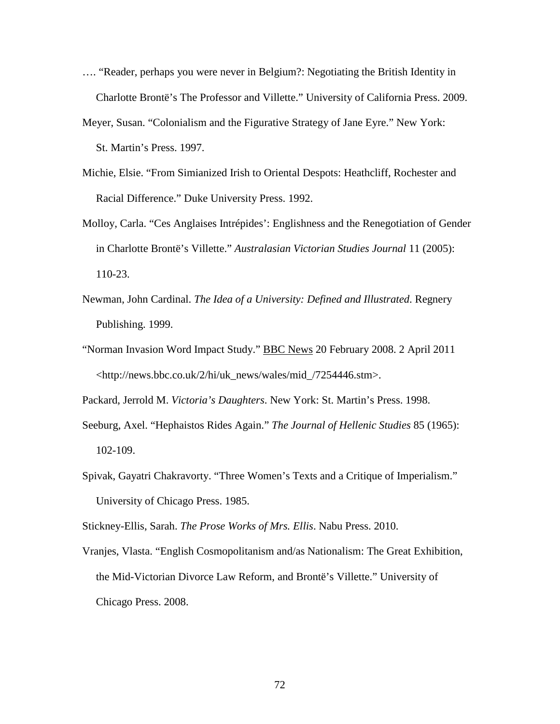- …. "Reader, perhaps you were never in Belgium?: Negotiating the British Identity in Charlotte Brontë's The Professor and Villette." University of California Press. 2009.
- Meyer, Susan. "Colonialism and the Figurative Strategy of Jane Eyre." New York: St. Martin's Press. 1997.
- Michie, Elsie. "From Simianized Irish to Oriental Despots: Heathcliff, Rochester and Racial Difference." Duke University Press. 1992.
- Molloy, Carla. "Ces Anglaises Intrépides': Englishness and the Renegotiation of Gender in Charlotte Brontë's Villette." *Australasian Victorian Studies Journal* 11 (2005): 110-23.
- Newman, John Cardinal. *The Idea of a University: Defined and Illustrated*. Regnery Publishing. 1999.
- "Norman Invasion Word Impact Study." BBC News 20 February 2008. 2 April 2011 <http://news.bbc.co.uk/2/hi/uk\_news/wales/mid\_/7254446.stm>.

Packard, Jerrold M. *Victoria's Daughters*. New York: St. Martin's Press. 1998.

- Seeburg, Axel. "Hephaistos Rides Again." *The Journal of Hellenic Studies* 85 (1965): 102-109.
- Spivak, Gayatri Chakravorty. "Three Women's Texts and a Critique of Imperialism." University of Chicago Press. 1985.

Stickney-Ellis, Sarah. *The Prose Works of Mrs. Ellis*. Nabu Press. 2010.

Vranjes, Vlasta. "English Cosmopolitanism and/as Nationalism: The Great Exhibition, the Mid-Victorian Divorce Law Reform, and Brontë's Villette." University of Chicago Press. 2008.